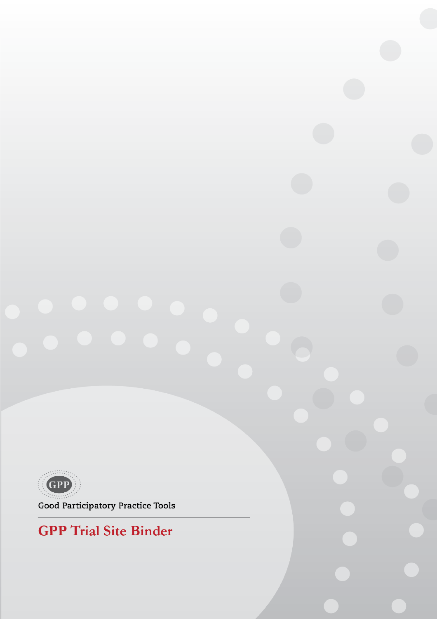

**Good Participatory Practice Tools** 

# **GPP** Trial Site Binder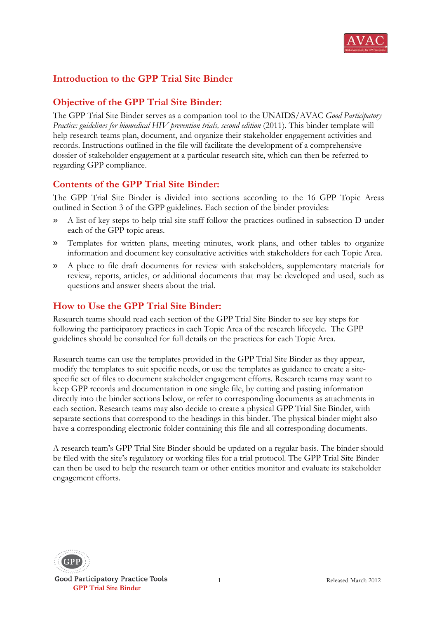

# **Introduction to the GPP Trial Site Binder**

# **Objective of the GPP Trial Site Binder:**

The GPP Trial Site Binder serves as a companion tool to the UNAIDS/AVAC *Good Participatory Practice: guidelines for biomedical HIV prevention trials, second edition* (2011). This binder template will help research teams plan, document, and organize their stakeholder engagement activities and records. Instructions outlined in the file will facilitate the development of a comprehensive dossier of stakeholder engagement at a particular research site, which can then be referred to regarding GPP compliance.

# **Contents of the GPP Trial Site Binder:**

The GPP Trial Site Binder is divided into sections according to the 16 GPP Topic Areas outlined in Section 3 of the GPP guidelines. Each section of the binder provides:

- » A list of key steps to help trial site staff follow the practices outlined in subsection D under each of the GPP topic areas.
- » Templates for written plans, meeting minutes, work plans, and other tables to organize information and document key consultative activities with stakeholders for each Topic Area.
- » A place to file draft documents for review with stakeholders, supplementary materials for review, reports, articles, or additional documents that may be developed and used, such as questions and answer sheets about the trial.

# **How to Use the GPP Trial Site Binder:**

Research teams should read each section of the GPP Trial Site Binder to see key steps for following the participatory practices in each Topic Area of the research lifecycle. The GPP guidelines should be consulted for full details on the practices for each Topic Area.

Research teams can use the templates provided in the GPP Trial Site Binder as they appear, modify the templates to suit specific needs, or use the templates as guidance to create a sitespecific set of files to document stakeholder engagement efforts. Research teams may want to keep GPP records and documentation in one single file, by cutting and pasting information directly into the binder sections below, or refer to corresponding documents as attachments in each section. Research teams may also decide to create a physical GPP Trial Site Binder, with separate sections that correspond to the headings in this binder. The physical binder might also have a corresponding electronic folder containing this file and all corresponding documents.

A research team's GPP Trial Site Binder should be updated on a regular basis. The binder should be filed with the site's regulatory or working files for a trial protocol. The GPP Trial Site Binder can then be used to help the research team or other entities monitor and evaluate its stakeholder engagement efforts.



Good Participatory Practice Tools  **GPP Trial Site Binder**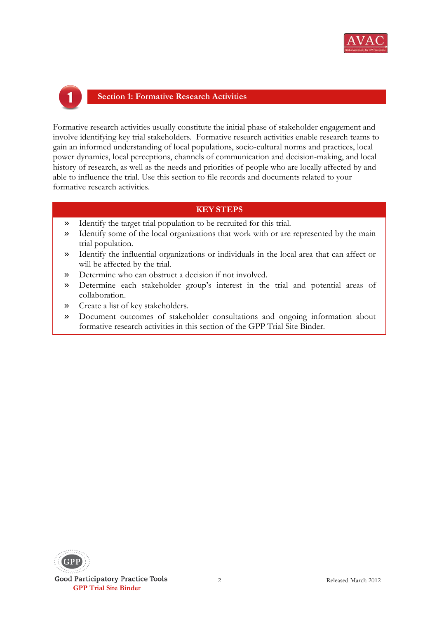

### **Section 1: Formative Research Activities**

Formative research activities usually constitute the initial phase of stakeholder engagement and involve identifying key trial stakeholders. Formative research activities enable research teams to gain an informed understanding of local populations, socio-cultural norms and practices, local power dynamics, local perceptions, channels of communication and decision-making, and local history of research, as well as the needs and priorities of people who are locally affected by and able to influence the trial. Use this section to file records and documents related to your formative research activities.

- » Identify the target trial population to be recruited for this trial.
- » Identify some of the local organizations that work with or are represented by the main trial population.
- » Identify the influential organizations or individuals in the local area that can affect or will be affected by the trial.
- » Determine who can obstruct a decision if not involved.
- » Determine each stakeholder group's interest in the trial and potential areas of collaboration.
- » Create a list of key stakeholders.
- » Document outcomes of stakeholder consultations and ongoing information about formative research activities in this section of the GPP Trial Site Binder.

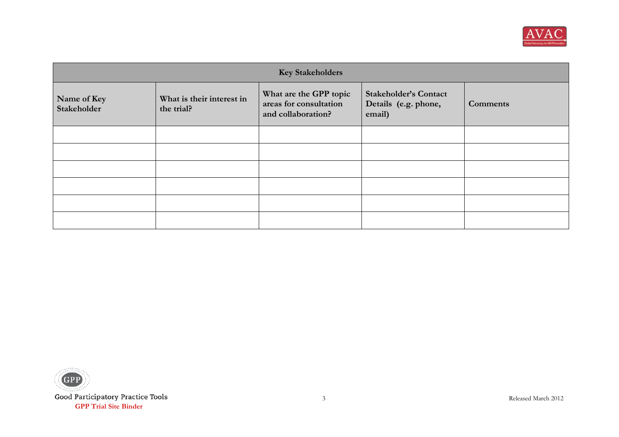

| <b>Key Stakeholders</b>    |                                         |                                                                        |                                                                |                 |  |
|----------------------------|-----------------------------------------|------------------------------------------------------------------------|----------------------------------------------------------------|-----------------|--|
| Name of Key<br>Stakeholder | What is their interest in<br>the trial? | What are the GPP topic<br>areas for consultation<br>and collaboration? | <b>Stakeholder's Contact</b><br>Details (e.g. phone,<br>email) | <b>Comments</b> |  |
|                            |                                         |                                                                        |                                                                |                 |  |
|                            |                                         |                                                                        |                                                                |                 |  |
|                            |                                         |                                                                        |                                                                |                 |  |
|                            |                                         |                                                                        |                                                                |                 |  |
|                            |                                         |                                                                        |                                                                |                 |  |
|                            |                                         |                                                                        |                                                                |                 |  |

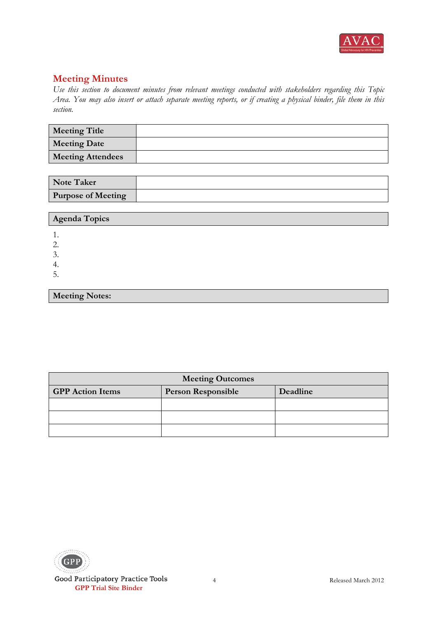

*Use this section to document minutes from relevant meetings conducted with stakeholders regarding this Topic Area. You may also insert or attach separate meeting reports, or if creating a physical binder, file them in this section.*

| <b>Meeting Title</b>     |  |
|--------------------------|--|
| <b>Meeting Date</b>      |  |
| <b>Meeting Attendees</b> |  |

| <b>Note Taker</b>         |  |
|---------------------------|--|
| <b>Purpose of Meeting</b> |  |

| Agenda Topics |
|---------------|
| . .           |
| <u>L.</u>     |
| $\sim$<br>◡.  |
| ተ.            |
| . ب           |
|               |

**Meeting Notes:**

| <b>Meeting Outcomes</b>                                          |  |  |  |  |
|------------------------------------------------------------------|--|--|--|--|
| <b>GPP</b> Action Items<br><b>Person Responsible</b><br>Deadline |  |  |  |  |
|                                                                  |  |  |  |  |
|                                                                  |  |  |  |  |
|                                                                  |  |  |  |  |

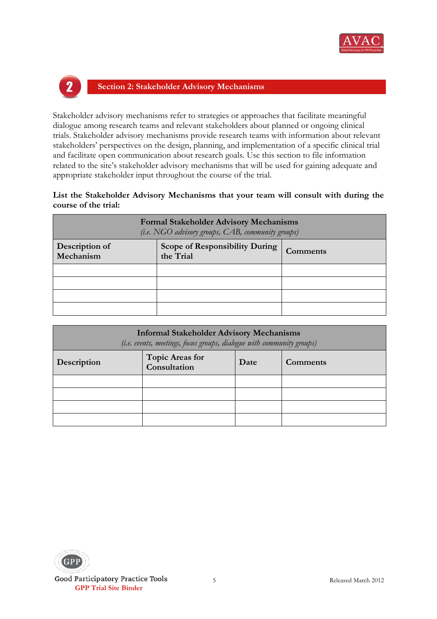



### **Section 2: Stakeholder Advisory Mechanisms**

Stakeholder advisory mechanisms refer to strategies or approaches that facilitate meaningful dialogue among research teams and relevant stakeholders about planned or ongoing clinical trials. Stakeholder advisory mechanisms provide research teams with information about relevant stakeholders' perspectives on the design, planning, and implementation of a specific clinical trial and facilitate open communication about research goals. Use this section to file information related to the site's stakeholder advisory mechanisms that will be used for gaining adequate and appropriate stakeholder input throughout the course of the trial.

**List the Stakeholder Advisory Mechanisms that your team will consult with during the course of the trial:**

| <b>Formal Stakeholder Advisory Mechanisms</b><br>(i.e. NGO advisory groups, CAB, community groups) |                                                                |  |  |  |
|----------------------------------------------------------------------------------------------------|----------------------------------------------------------------|--|--|--|
| Description of<br>Mechanism                                                                        | <b>Scope of Responsibility During</b><br>Comments<br>the Trial |  |  |  |
|                                                                                                    |                                                                |  |  |  |
|                                                                                                    |                                                                |  |  |  |
|                                                                                                    |                                                                |  |  |  |
|                                                                                                    |                                                                |  |  |  |

| <b>Informal Stakeholder Advisory Mechanisms</b><br>(i.e. events, meetings, focus groups, dialogue with community groups) |                                                            |  |  |  |  |
|--------------------------------------------------------------------------------------------------------------------------|------------------------------------------------------------|--|--|--|--|
| Description                                                                                                              | <b>Topic Areas for</b><br>Date<br>Comments<br>Consultation |  |  |  |  |
|                                                                                                                          |                                                            |  |  |  |  |
|                                                                                                                          |                                                            |  |  |  |  |
|                                                                                                                          |                                                            |  |  |  |  |
|                                                                                                                          |                                                            |  |  |  |  |

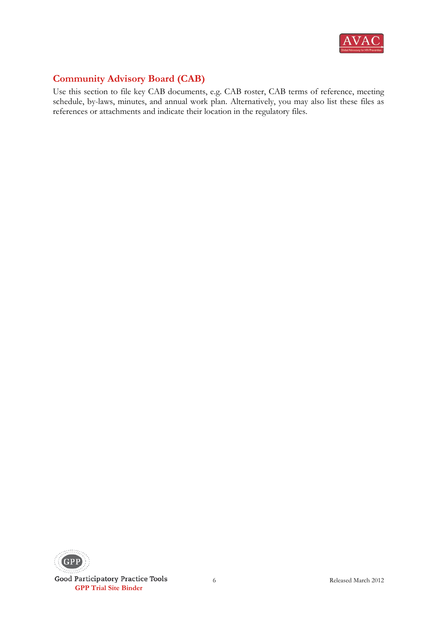

# **Community Advisory Board (CAB)**

Use this section to file key CAB documents, e.g. CAB roster, CAB terms of reference, meeting schedule, by-laws, minutes, and annual work plan. Alternatively, you may also list these files as references or attachments and indicate their location in the regulatory files.

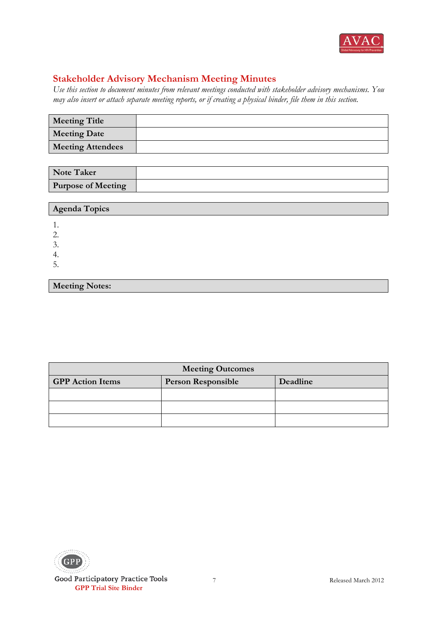

# **Stakeholder Advisory Mechanism Meeting Minutes**

*Use this section to document minutes from relevant meetings conducted with stakeholder advisory mechanisms. You may also insert or attach separate meeting reports, or if creating a physical binder, file them in this section.*

| <b>Meeting Title</b>     |  |
|--------------------------|--|
| <b>Meeting Date</b>      |  |
| <b>Meeting Attendees</b> |  |

| <b>Note Taker</b>         |  |
|---------------------------|--|
| <b>Purpose of Meeting</b> |  |

#### **Agenda Topics**

1.

2.

3. 4.

5.

### **Meeting Notes:**

| <b>Meeting Outcomes</b>                                          |  |  |  |  |
|------------------------------------------------------------------|--|--|--|--|
| <b>GPP</b> Action Items<br>Deadline<br><b>Person Responsible</b> |  |  |  |  |
|                                                                  |  |  |  |  |
|                                                                  |  |  |  |  |
|                                                                  |  |  |  |  |

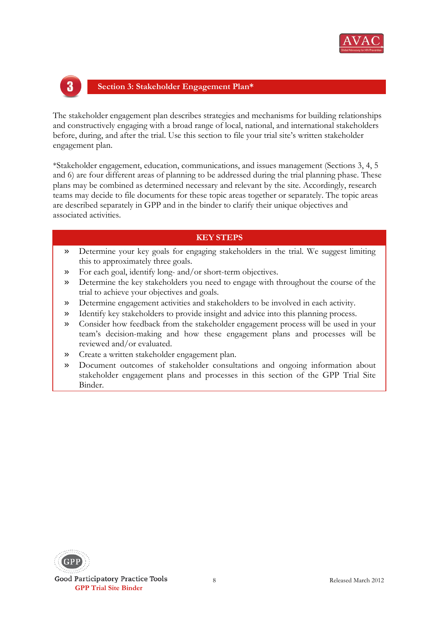



#### **Section 3: Stakeholder Engagement Plan\***

The stakeholder engagement plan describes strategies and mechanisms for building relationships and constructively engaging with a broad range of local, national, and international stakeholders before, during, and after the trial. Use this section to file your trial site's written stakeholder engagement plan.

\*Stakeholder engagement, education, communications, and issues management (Sections 3, 4, 5 and 6) are four different areas of planning to be addressed during the trial planning phase. These plans may be combined as determined necessary and relevant by the site. Accordingly, research teams may decide to file documents for these topic areas together or separately. The topic areas are described separately in GPP and in the binder to clarify their unique objectives and associated activities.

- » Determine your key goals for engaging stakeholders in the trial. We suggest limiting this to approximately three goals.
- » For each goal, identify long- and/or short-term objectives.
- » Determine the key stakeholders you need to engage with throughout the course of the trial to achieve your objectives and goals.
- » Determine engagement activities and stakeholders to be involved in each activity.
- » Identify key stakeholders to provide insight and advice into this planning process.
- » Consider how feedback from the stakeholder engagement process will be used in your team's decision-making and how these engagement plans and processes will be reviewed and/or evaluated.
- » Create a written stakeholder engagement plan.
- » Document outcomes of stakeholder consultations and ongoing information about stakeholder engagement plans and processes in this section of the GPP Trial Site Binder.

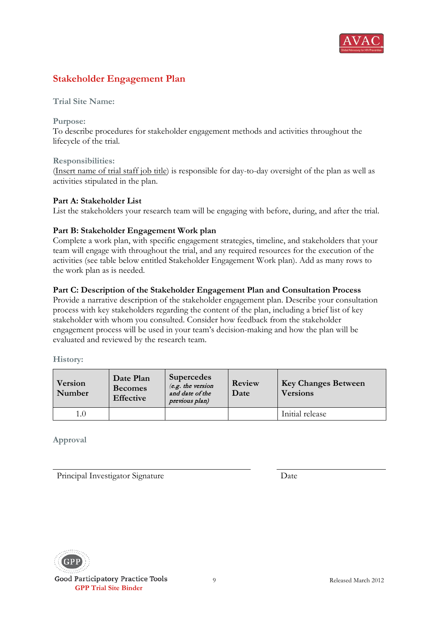

# **Stakeholder Engagement Plan**

**Trial Site Name:** 

**Purpose:** 

To describe procedures for stakeholder engagement methods and activities throughout the lifecycle of the trial.

**Responsibilities:**

(Insert name of trial staff job title) is responsible for day-to-day oversight of the plan as well as activities stipulated in the plan.

#### **Part A: Stakeholder List**

List the stakeholders your research team will be engaging with before, during, and after the trial.

#### **Part B: Stakeholder Engagement Work plan**

Complete a work plan, with specific engagement strategies, timeline, and stakeholders that your team will engage with throughout the trial, and any required resources for the execution of the activities (see table below entitled Stakeholder Engagement Work plan). Add as many rows to the work plan as is needed.

#### **Part C: Description of the Stakeholder Engagement Plan and Consultation Process**

Provide a narrative description of the stakeholder engagement plan. Describe your consultation process with key stakeholders regarding the content of the plan, including a brief list of key stakeholder with whom you consulted. Consider how feedback from the stakeholder engagement process will be used in your team's decision-making and how the plan will be evaluated and reviewed by the research team.

**History:**

| Version<br>Number | Date Plan<br><b>Becomes</b><br><b>Effective</b> | <b>Supercedes</b><br>(e.g. the version<br>and date of the<br>previous plan) | Review<br>Date | <b>Key Changes Between</b><br><b>Versions</b> |
|-------------------|-------------------------------------------------|-----------------------------------------------------------------------------|----------------|-----------------------------------------------|
| 1.0               |                                                 |                                                                             |                | Initial release                               |

**Approval**

Principal Investigator Signature Date

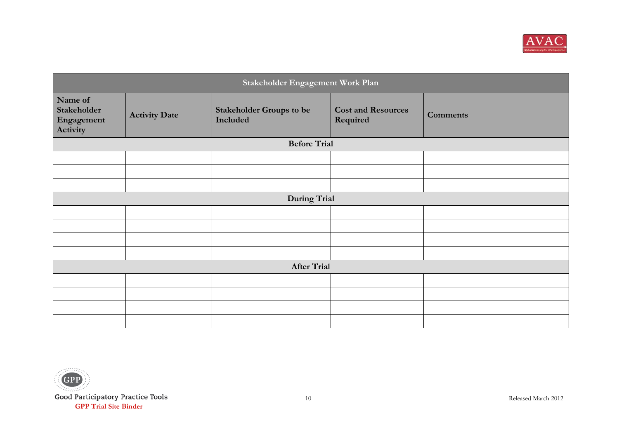

| Stakeholder Engagement Work Plan                 |                      |                                             |                                       |                 |  |
|--------------------------------------------------|----------------------|---------------------------------------------|---------------------------------------|-----------------|--|
| Name of<br>Stakeholder<br>Engagement<br>Activity | <b>Activity Date</b> | <b>Stakeholder Groups to be</b><br>Included | <b>Cost and Resources</b><br>Required | <b>Comments</b> |  |
|                                                  |                      | <b>Before Trial</b>                         |                                       |                 |  |
|                                                  |                      |                                             |                                       |                 |  |
|                                                  |                      |                                             |                                       |                 |  |
|                                                  |                      |                                             |                                       |                 |  |
|                                                  |                      | <b>During Trial</b>                         |                                       |                 |  |
|                                                  |                      |                                             |                                       |                 |  |
|                                                  |                      |                                             |                                       |                 |  |
|                                                  |                      |                                             |                                       |                 |  |
|                                                  |                      |                                             |                                       |                 |  |
| <b>After Trial</b>                               |                      |                                             |                                       |                 |  |
|                                                  |                      |                                             |                                       |                 |  |
|                                                  |                      |                                             |                                       |                 |  |
|                                                  |                      |                                             |                                       |                 |  |
|                                                  |                      |                                             |                                       |                 |  |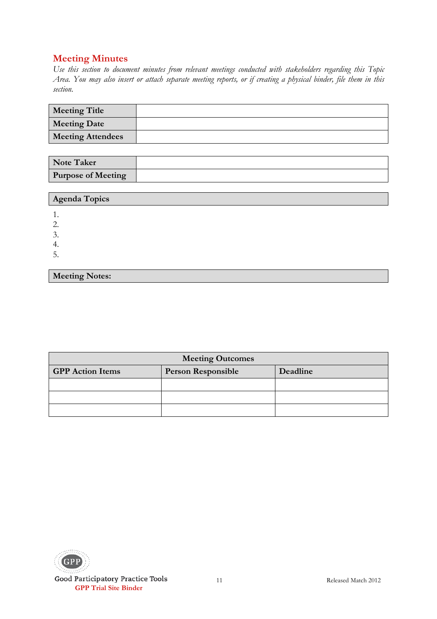**Meeting Notes:**

| <b>Meeting Title</b>     |  |
|--------------------------|--|
| <b>Meeting Date</b>      |  |
| <b>Meeting Attendees</b> |  |

| <b>Note Taker</b>         |  |
|---------------------------|--|
| <b>Purpose of Meeting</b> |  |

| Agenda Topics |  |
|---------------|--|
|               |  |
| ◡.            |  |
| 4.            |  |
| ∽<br>J.       |  |

| <b>Meeting Outcomes</b>                                          |  |  |  |  |
|------------------------------------------------------------------|--|--|--|--|
| <b>GPP</b> Action Items<br><b>Person Responsible</b><br>Deadline |  |  |  |  |
|                                                                  |  |  |  |  |
|                                                                  |  |  |  |  |
|                                                                  |  |  |  |  |

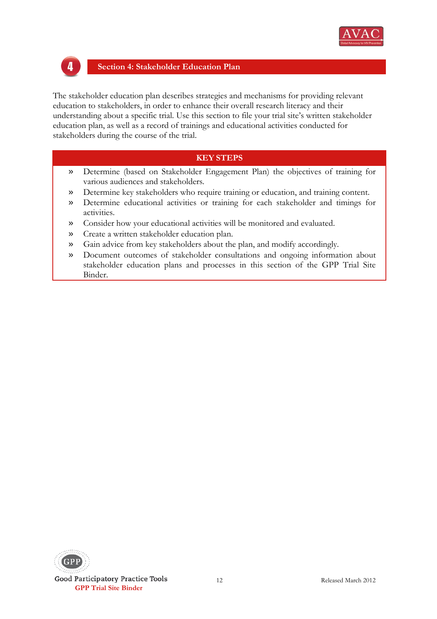

# 4

#### **Section 4: Stakeholder Education Plan**

The stakeholder education plan describes strategies and mechanisms for providing relevant education to stakeholders, in order to enhance their overall research literacy and their understanding about a specific trial. Use this section to file your trial site's written stakeholder education plan, as well as a record of trainings and educational activities conducted for stakeholders during the course of the trial.

- » Determine (based on Stakeholder Engagement Plan) the objectives of training for various audiences and stakeholders.
- » Determine key stakeholders who require training or education, and training content.
- » Determine educational activities or training for each stakeholder and timings for activities.
- » Consider how your educational activities will be monitored and evaluated.
- » Create a written stakeholder education plan.
- » Gain advice from key stakeholders about the plan, and modify accordingly.
- » Document outcomes of stakeholder consultations and ongoing information about stakeholder education plans and processes in this section of the GPP Trial Site Binder.

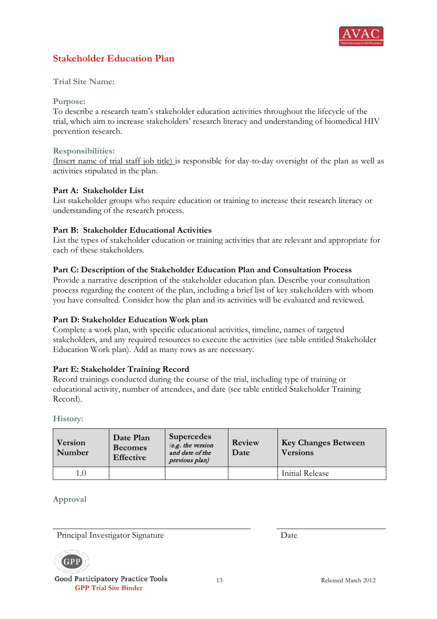

# **Stakeholder Education Plan**

#### **Trial Site Name:**

#### **Purpose:**

To describe a research team's stakeholder education activities throughout the lifecycle of the trial, which aim to increase stakeholders' research literacy and understanding of biomedical HIV prevention research.

#### **Responsibilities:**

(Insert name of trial staff job title) is responsible for day-to-day oversight of the plan as well as activities stipulated in the plan.

#### **Part A: Stakeholder List**

List stakeholder groups who require education or training to increase their research literacy or understanding of the research process.

#### **Part B: Stakeholder Educational Activities**

List the types of stakeholder education or training activities that are relevant and appropriate for each of these stakeholders.

#### **Part C: Description of the Stakeholder Education Plan and Consultation Process**

Provide a narrative description of the stakeholder education plan. Describe your consultation process regarding the content of the plan, including a brief list of key stakeholders with whom you have consulted. Consider how the plan and its activities will be evaluated and reviewed.

#### **Part D: Stakeholder Education Work plan**

Complete a work plan, with specific educational activities, timeline, names of targeted stakeholders, and any required resources to execute the activities (see table entitled Stakeholder Education Work plan). Add as many rows as are necessary.

#### **Part E: Stakeholder Training Record**

Record trainings conducted during the course of the trial, including type of training or educational activity, number of attendees, and date (see table entitled Stakeholder Training Record).

**History:**

| Version<br>Number | Date Plan<br><b>Becomes</b><br><b>Effective</b> | <b>Supercedes</b><br>(e.g. the version<br>and date of the<br>previous plan) | Review<br>Date | <b>Key Changes Between</b><br><b>Versions</b> |
|-------------------|-------------------------------------------------|-----------------------------------------------------------------------------|----------------|-----------------------------------------------|
| 1.0               |                                                 |                                                                             |                | Initial Release                               |

**Approval**

Principal Investigator Signature Date



Good Participatory Practice Tools  **GPP Trial Site Binder**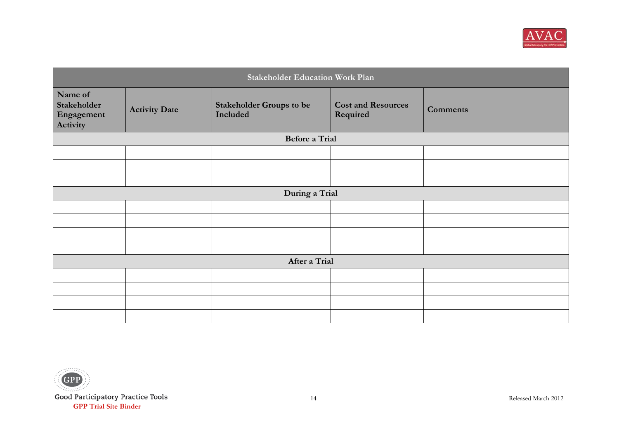

| <b>Stakeholder Education Work Plan</b>           |                      |                                             |                                       |                 |
|--------------------------------------------------|----------------------|---------------------------------------------|---------------------------------------|-----------------|
| Name of<br>Stakeholder<br>Engagement<br>Activity | <b>Activity Date</b> | <b>Stakeholder Groups to be</b><br>Included | <b>Cost and Resources</b><br>Required | <b>Comments</b> |
|                                                  |                      | <b>Before a Trial</b>                       |                                       |                 |
|                                                  |                      |                                             |                                       |                 |
|                                                  |                      |                                             |                                       |                 |
|                                                  |                      |                                             |                                       |                 |
|                                                  |                      | During a Trial                              |                                       |                 |
|                                                  |                      |                                             |                                       |                 |
|                                                  |                      |                                             |                                       |                 |
|                                                  |                      |                                             |                                       |                 |
|                                                  |                      |                                             |                                       |                 |
| After a Trial                                    |                      |                                             |                                       |                 |
|                                                  |                      |                                             |                                       |                 |
|                                                  |                      |                                             |                                       |                 |
|                                                  |                      |                                             |                                       |                 |
|                                                  |                      |                                             |                                       |                 |

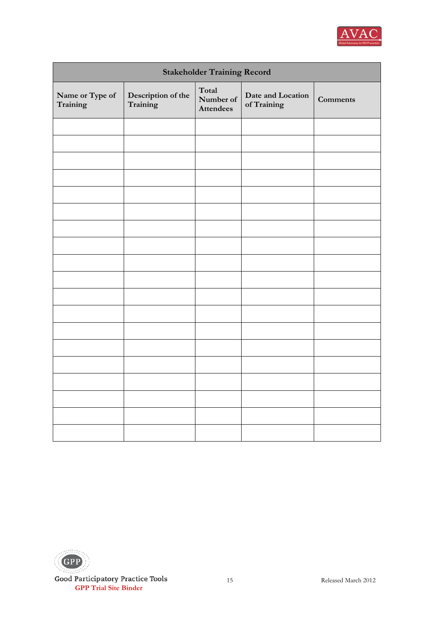

| <b>Stakeholder Training Record</b> |                                |                                        |                                  |                 |  |
|------------------------------------|--------------------------------|----------------------------------------|----------------------------------|-----------------|--|
| Name or Type of<br>Training        | Description of the<br>Training | Total<br>Number of<br><b>Attendees</b> | Date and Location<br>of Training | <b>Comments</b> |  |
|                                    |                                |                                        |                                  |                 |  |
|                                    |                                |                                        |                                  |                 |  |
|                                    |                                |                                        |                                  |                 |  |
|                                    |                                |                                        |                                  |                 |  |
|                                    |                                |                                        |                                  |                 |  |
|                                    |                                |                                        |                                  |                 |  |
|                                    |                                |                                        |                                  |                 |  |
|                                    |                                |                                        |                                  |                 |  |
|                                    |                                |                                        |                                  |                 |  |
|                                    |                                |                                        |                                  |                 |  |
|                                    |                                |                                        |                                  |                 |  |
|                                    |                                |                                        |                                  |                 |  |
|                                    |                                |                                        |                                  |                 |  |
|                                    |                                |                                        |                                  |                 |  |
|                                    |                                |                                        |                                  |                 |  |
|                                    |                                |                                        |                                  |                 |  |
|                                    |                                |                                        |                                  |                 |  |
|                                    |                                |                                        |                                  |                 |  |
|                                    |                                |                                        |                                  |                 |  |

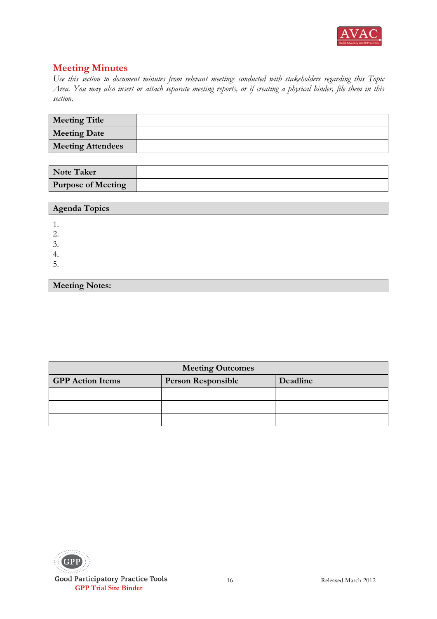

| <b>Meeting Title</b>     |  |
|--------------------------|--|
| <b>Meeting Date</b>      |  |
| <b>Meeting Attendees</b> |  |

| <b>Note Taker</b>         |  |
|---------------------------|--|
| <b>Purpose of Meeting</b> |  |

| <b>Agenda Topics</b>  |  |
|-----------------------|--|
|                       |  |
| 2.                    |  |
| 3.                    |  |
| 4.                    |  |
| 5.                    |  |
|                       |  |
| <b>Meeting Notes:</b> |  |

| <b>Meeting Outcomes</b>                                          |  |  |  |  |
|------------------------------------------------------------------|--|--|--|--|
| <b>GPP</b> Action Items<br>Deadline<br><b>Person Responsible</b> |  |  |  |  |
|                                                                  |  |  |  |  |
|                                                                  |  |  |  |  |
|                                                                  |  |  |  |  |

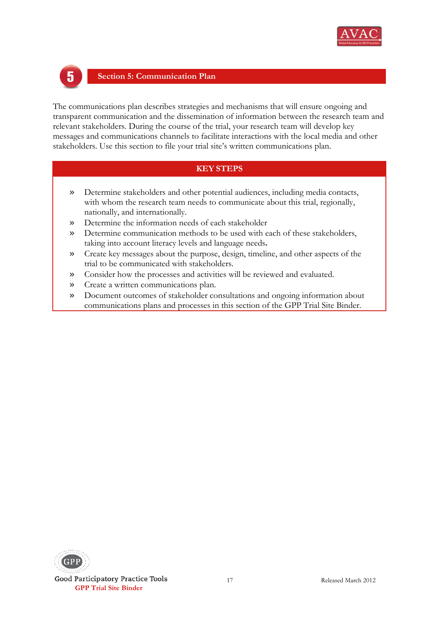



#### **Section 5: Communication Plan**

The communications plan describes strategies and mechanisms that will ensure ongoing and transparent communication and the dissemination of information between the research team and relevant stakeholders. During the course of the trial, your research team will develop key messages and communications channels to facilitate interactions with the local media and other stakeholders. Use this section to file your trial site's written communications plan.

- » Determine stakeholders and other potential audiences, including media contacts, with whom the research team needs to communicate about this trial, regionally, nationally, and internationally.
- » Determine the information needs of each stakeholder
- » Determine communication methods to be used with each of these stakeholders, taking into account literacy levels and language needs**.**
- » Create key messages about the purpose, design, timeline, and other aspects of the trial to be communicated with stakeholders.
- » Consider how the processes and activities will be reviewed and evaluated.
- » Create a written communications plan.
- » Document outcomes of stakeholder consultations and ongoing information about communications plans and processes in this section of the GPP Trial Site Binder.

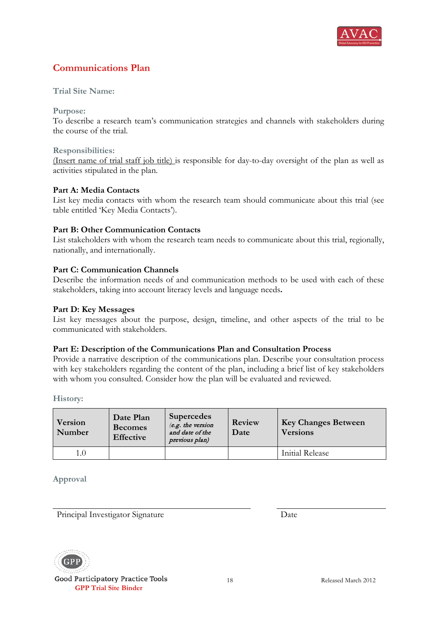

# **Communications Plan**

#### **Trial Site Name:**

**Purpose:** 

To describe a research team's communication strategies and channels with stakeholders during the course of the trial.

#### **Responsibilities:**

(Insert name of trial staff job title) is responsible for day-to-day oversight of the plan as well as activities stipulated in the plan.

#### **Part A: Media Contacts**

List key media contacts with whom the research team should communicate about this trial (see table entitled 'Key Media Contacts').

#### **Part B: Other Communication Contacts**

List stakeholders with whom the research team needs to communicate about this trial, regionally, nationally, and internationally.

#### **Part C: Communication Channels**

Describe the information needs of and communication methods to be used with each of these stakeholders, taking into account literacy levels and language needs**.**

#### **Part D: Key Messages**

List key messages about the purpose, design, timeline, and other aspects of the trial to be communicated with stakeholders.

#### **Part E: Description of the Communications Plan and Consultation Process**

Provide a narrative description of the communications plan. Describe your consultation process with key stakeholders regarding the content of the plan, including a brief list of key stakeholders with whom you consulted. Consider how the plan will be evaluated and reviewed.

**History:**

| Version<br>Number | Date Plan<br><b>Becomes</b><br><b>Effective</b> | <b>Supercedes</b><br>(e.g. the version<br>and date of the<br>previous plan) | Review<br>Date | <b>Key Changes Between</b><br><b>Versions</b> |
|-------------------|-------------------------------------------------|-----------------------------------------------------------------------------|----------------|-----------------------------------------------|
| 1.0               |                                                 |                                                                             |                | Initial Release                               |

**Approval**

Principal Investigator Signature Date



Good Participatory Practice Tools **GPP Trial Site Binder**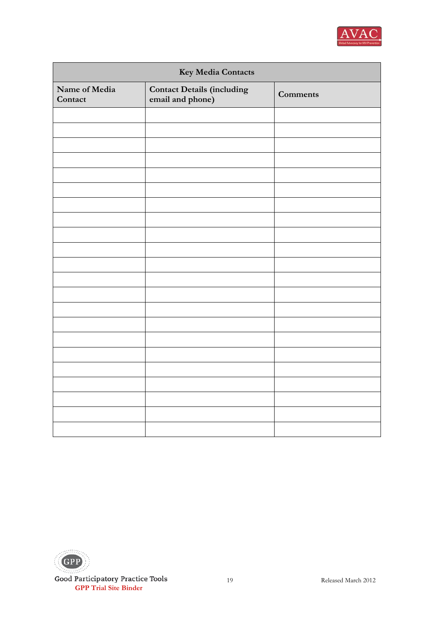

| Key Media Contacts       |                                                    |                 |
|--------------------------|----------------------------------------------------|-----------------|
| Name of Media<br>Contact | <b>Contact Details (including email and phone)</b> | <b>Comments</b> |
|                          |                                                    |                 |
|                          |                                                    |                 |
|                          |                                                    |                 |
|                          |                                                    |                 |
|                          |                                                    |                 |
|                          |                                                    |                 |
|                          |                                                    |                 |
|                          |                                                    |                 |
|                          |                                                    |                 |
|                          |                                                    |                 |
|                          |                                                    |                 |
|                          |                                                    |                 |
|                          |                                                    |                 |
|                          |                                                    |                 |
|                          |                                                    |                 |
|                          |                                                    |                 |
|                          |                                                    |                 |
|                          |                                                    |                 |
|                          |                                                    |                 |
|                          |                                                    |                 |
|                          |                                                    |                 |
|                          |                                                    |                 |

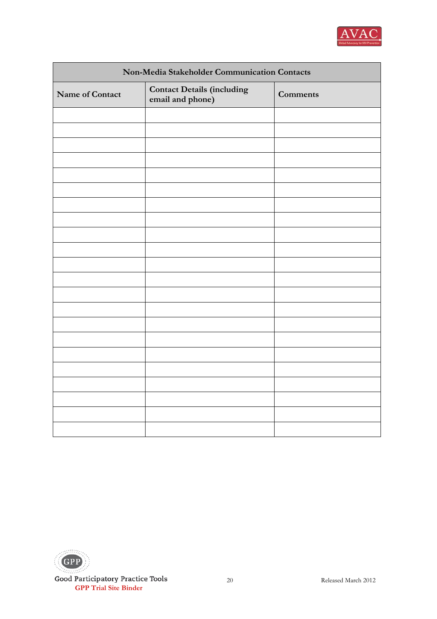

| Non-Media Stakeholder Communication Contacts |                                                       |                 |
|----------------------------------------------|-------------------------------------------------------|-----------------|
| Name of Contact                              | <b>Contact Details (including</b><br>email and phone) | <b>Comments</b> |
|                                              |                                                       |                 |
|                                              |                                                       |                 |
|                                              |                                                       |                 |
|                                              |                                                       |                 |
|                                              |                                                       |                 |
|                                              |                                                       |                 |
|                                              |                                                       |                 |
|                                              |                                                       |                 |
|                                              |                                                       |                 |
|                                              |                                                       |                 |
|                                              |                                                       |                 |
|                                              |                                                       |                 |
|                                              |                                                       |                 |
|                                              |                                                       |                 |
|                                              |                                                       |                 |
|                                              |                                                       |                 |
|                                              |                                                       |                 |
|                                              |                                                       |                 |
|                                              |                                                       |                 |
|                                              |                                                       |                 |
|                                              |                                                       |                 |
|                                              |                                                       |                 |

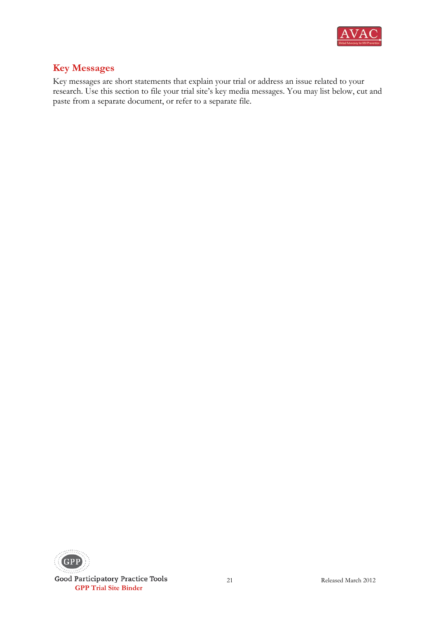

# **Key Messages**

Key messages are short statements that explain your trial or address an issue related to your research. Use this section to file your trial site's key media messages. You may list below, cut and paste from a separate document, or refer to a separate file.



Good Participatory Practice Tools **GPP Trial Site Binder**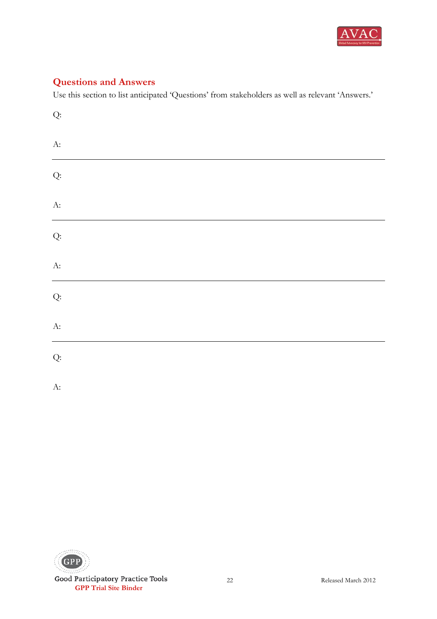

# **Questions and Answers**

Use this section to list anticipated 'Questions' from stakeholders as well as relevant 'Answers.'

| $\mathrm{Q}\text{:}$ |  |  |
|----------------------|--|--|
| $\mathbf{A}$ :       |  |  |
| Q:                   |  |  |
| $\mathbf{A}$ :       |  |  |
| Q:                   |  |  |
| $A$ :                |  |  |
| Q:                   |  |  |
| $A$ :                |  |  |
| Q:                   |  |  |
| A:                   |  |  |

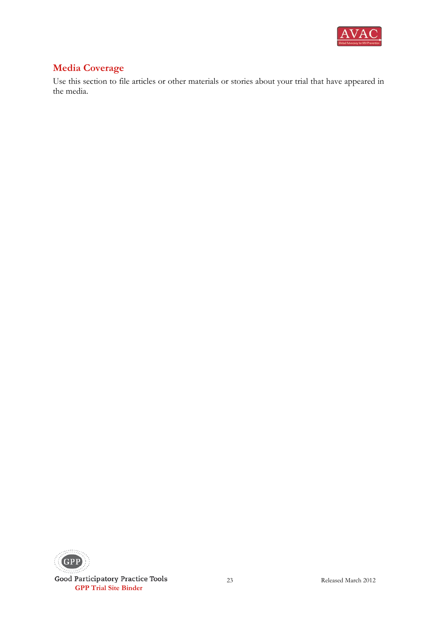

# **Media Coverage**

Use this section to file articles or other materials or stories about your trial that have appeared in the media.



Good Participatory Practice Tools **GPP Trial Site Binder**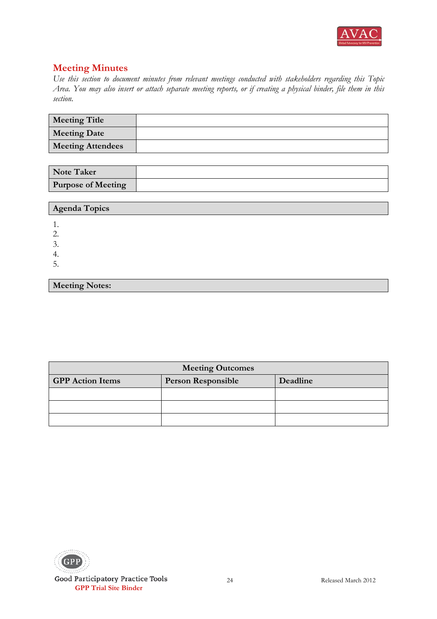

| <b>Meeting Title</b>     |  |
|--------------------------|--|
| <b>Meeting Date</b>      |  |
| <b>Meeting Attendees</b> |  |

| <b>Note Taker</b>         |  |
|---------------------------|--|
| <b>Purpose of Meeting</b> |  |

| <b>Agenda Topics</b>  |  |
|-----------------------|--|
| 1.                    |  |
| 2.                    |  |
| 3.                    |  |
| 4.                    |  |
| 5.                    |  |
|                       |  |
| <b>Meeting Notes:</b> |  |

| <b>Meeting Outcomes</b>                                          |  |  |
|------------------------------------------------------------------|--|--|
| <b>GPP</b> Action Items<br><b>Person Responsible</b><br>Deadline |  |  |
|                                                                  |  |  |
|                                                                  |  |  |
|                                                                  |  |  |

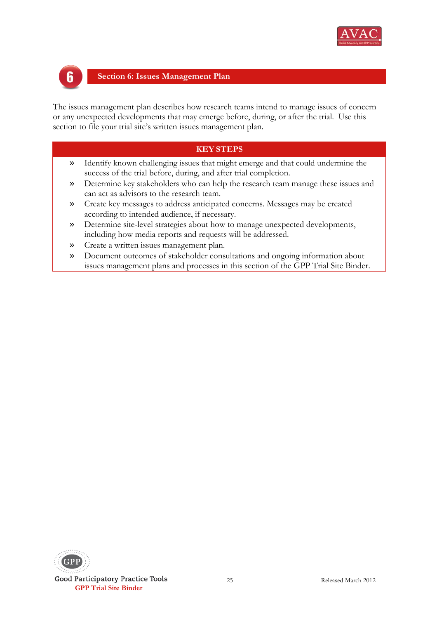



#### **Section 6: Issues Management Plan**

The issues management plan describes how research teams intend to manage issues of concern or any unexpected developments that may emerge before, during, or after the trial. Use this section to file your trial site's written issues management plan.

- » Identify known challenging issues that might emerge and that could undermine the success of the trial before, during, and after trial completion.
- » Determine key stakeholders who can help the research team manage these issues and can act as advisors to the research team.
- » Create key messages to address anticipated concerns. Messages may be created according to intended audience, if necessary.
- » Determine site-level strategies about how to manage unexpected developments, including how media reports and requests will be addressed.
- » Create a written issues management plan.
- » Document outcomes of stakeholder consultations and ongoing information about issues management plans and processes in this section of the GPP Trial Site Binder.

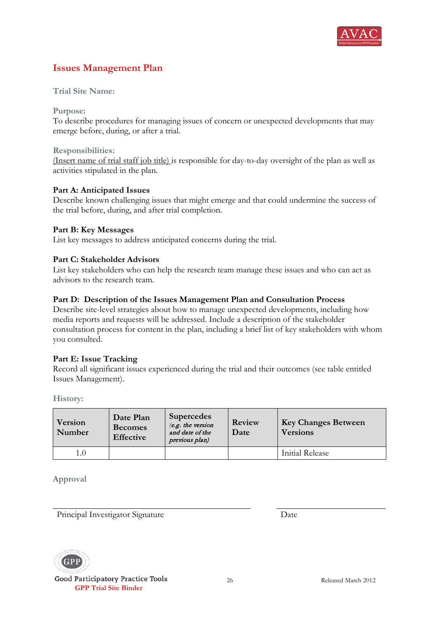

# **Issues Management Plan**

**Trial Site Name:** 

**Purpose:** 

To describe procedures for managing issues of concern or unexpected developments that may emerge before, during, or after a trial.

#### **Responsibilities:**

(Insert name of trial staff job title) is responsible for day-to-day oversight of the plan as well as activities stipulated in the plan.

#### **Part A: Anticipated Issues**

Describe known challenging issues that might emerge and that could undermine the success of the trial before, during, and after trial completion.

#### **Part B: Key Messages**

List key messages to address anticipated concerns during the trial.

#### **Part C: Stakeholder Advisors**

List key stakeholders who can help the research team manage these issues and who can act as advisors to the research team.

#### **Part D: Description of the Issues Management Plan and Consultation Process**

Describe site-level strategies about how to manage unexpected developments, including how media reports and requests will be addressed. Include a description of the stakeholder consultation process for content in the plan, including a brief list of key stakeholders with whom you consulted.

#### **Part E: Issue Tracking**

Record all significant issues experienced during the trial and their outcomes (see table entitled Issues Management).

**History:**

| Version<br>Number | Date Plan<br><b>Becomes</b><br><b>Effective</b> | <b>Supercedes</b><br>(e.g. the version<br>and date of the<br>previous plan) | Review<br>Date | <b>Key Changes Between</b><br><b>Versions</b> |
|-------------------|-------------------------------------------------|-----------------------------------------------------------------------------|----------------|-----------------------------------------------|
| 1.0               |                                                 |                                                                             |                | Initial Release                               |

**Approval**

Principal Investigator Signature Date



Good Participatory Practice Tools **GPP Trial Site Binder**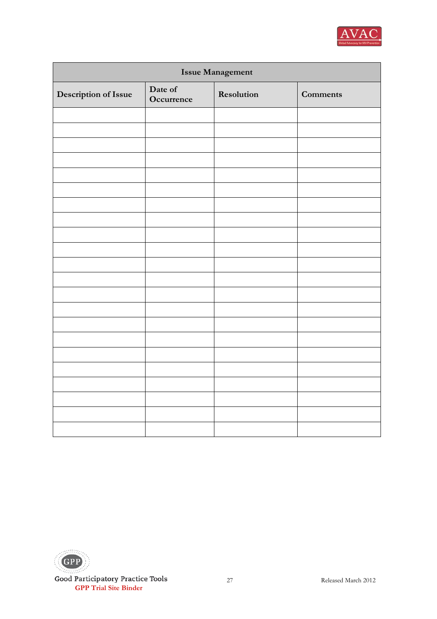

| <b>Issue Management</b> |                       |            |                 |
|-------------------------|-----------------------|------------|-----------------|
| Description of Issue    | Date of<br>Occurrence | Resolution | <b>Comments</b> |
|                         |                       |            |                 |
|                         |                       |            |                 |
|                         |                       |            |                 |
|                         |                       |            |                 |
|                         |                       |            |                 |
|                         |                       |            |                 |
|                         |                       |            |                 |
|                         |                       |            |                 |
|                         |                       |            |                 |
|                         |                       |            |                 |
|                         |                       |            |                 |
|                         |                       |            |                 |
|                         |                       |            |                 |
|                         |                       |            |                 |
|                         |                       |            |                 |
|                         |                       |            |                 |
|                         |                       |            |                 |
|                         |                       |            |                 |
|                         |                       |            |                 |
|                         |                       |            |                 |
|                         |                       |            |                 |
|                         |                       |            |                 |

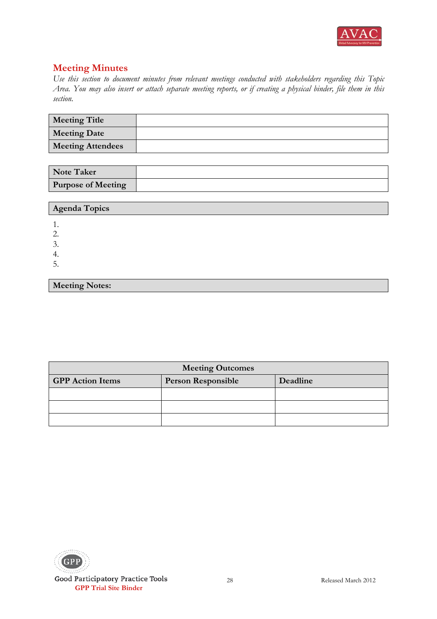

| <b>Meeting Title</b>     |  |
|--------------------------|--|
| <b>Meeting Date</b>      |  |
| <b>Meeting Attendees</b> |  |

| <b>Note Taker</b>         |  |
|---------------------------|--|
| <b>Purpose of Meeting</b> |  |

| <b>Agenda Topics</b>  |
|-----------------------|
|                       |
|                       |
|                       |
|                       |
|                       |
|                       |
| <b>Meeting Notes:</b> |

| <b>Meeting Outcomes</b> |                           |          |
|-------------------------|---------------------------|----------|
| <b>GPP</b> Action Items | <b>Person Responsible</b> | Deadline |
|                         |                           |          |
|                         |                           |          |
|                         |                           |          |

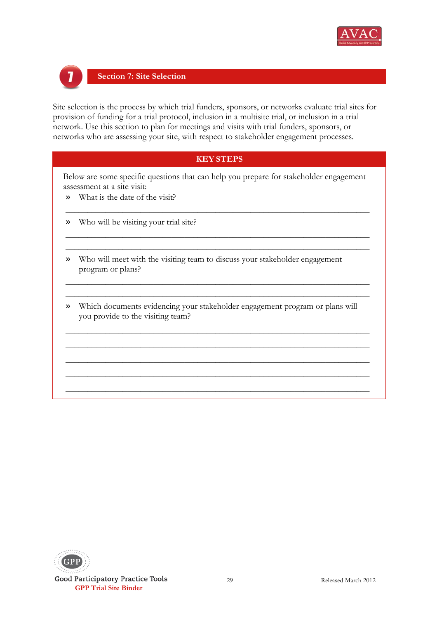



#### **Section 7: Site Selection**

Site selection is the process by which trial funders, sponsors, or networks evaluate trial sites for provision of funding for a trial protocol, inclusion in a multisite trial, or inclusion in a trial network. Use this section to plan for meetings and visits with trial funders, sponsors, or networks who are assessing your site, with respect to stakeholder engagement processes.

#### **KEY STEPS**

Below are some specific questions that can help you prepare for stakeholder engagement assessment at a site visit:

\_\_\_\_\_\_\_\_\_\_\_\_\_\_\_\_\_\_\_\_\_\_\_\_\_\_\_\_\_\_\_\_\_\_\_\_\_\_\_\_\_\_\_\_\_\_\_\_\_\_\_\_\_\_\_\_\_\_\_\_\_\_\_\_\_\_\_\_\_

\_\_\_\_\_\_\_\_\_\_\_\_\_\_\_\_\_\_\_\_\_\_\_\_\_\_\_\_\_\_\_\_\_\_\_\_\_\_\_\_\_\_\_\_\_\_\_\_\_\_\_\_\_\_\_\_\_\_\_\_\_\_\_\_\_\_\_\_\_ \_\_\_\_\_\_\_\_\_\_\_\_\_\_\_\_\_\_\_\_\_\_\_\_\_\_\_\_\_\_\_\_\_\_\_\_\_\_\_\_\_\_\_\_\_\_\_\_\_\_\_\_\_\_\_\_\_\_\_\_\_\_\_\_\_\_\_\_\_

 $\_$ \_\_\_\_\_\_\_\_\_\_\_\_\_\_\_\_\_\_\_\_\_\_\_\_\_\_\_\_\_\_\_\_\_\_\_\_\_\_\_\_\_\_\_\_\_\_\_\_\_\_\_\_\_\_\_\_\_\_\_\_\_\_\_\_\_\_\_\_\_

- » What is the date of the visit?
- » Who will be visiting your trial site?
- » Who will meet with the visiting team to discuss your stakeholder engagement program or plans?
- » Which documents evidencing your stakeholder engagement program or plans will you provide to the visiting team?

\_\_\_\_\_\_\_\_\_\_\_\_\_\_\_\_\_\_\_\_\_\_\_\_\_\_\_\_\_\_\_\_\_\_\_\_\_\_\_\_\_\_\_\_\_\_\_\_\_\_\_\_\_\_\_\_\_\_\_\_\_\_\_\_\_\_\_\_\_ \_\_\_\_\_\_\_\_\_\_\_\_\_\_\_\_\_\_\_\_\_\_\_\_\_\_\_\_\_\_\_\_\_\_\_\_\_\_\_\_\_\_\_\_\_\_\_\_\_\_\_\_\_\_\_\_\_\_\_\_\_\_\_\_\_\_\_\_\_ \_\_\_\_\_\_\_\_\_\_\_\_\_\_\_\_\_\_\_\_\_\_\_\_\_\_\_\_\_\_\_\_\_\_\_\_\_\_\_\_\_\_\_\_\_\_\_\_\_\_\_\_\_\_\_\_\_\_\_\_\_\_\_\_\_\_\_\_\_ \_\_\_\_\_\_\_\_\_\_\_\_\_\_\_\_\_\_\_\_\_\_\_\_\_\_\_\_\_\_\_\_\_\_\_\_\_\_\_\_\_\_\_\_\_\_\_\_\_\_\_\_\_\_\_\_\_\_\_\_\_\_\_\_\_\_\_\_\_ \_\_\_\_\_\_\_\_\_\_\_\_\_\_\_\_\_\_\_\_\_\_\_\_\_\_\_\_\_\_\_\_\_\_\_\_\_\_\_\_\_\_\_\_\_\_\_\_\_\_\_\_\_\_\_\_\_\_\_\_\_\_\_\_\_\_\_\_\_

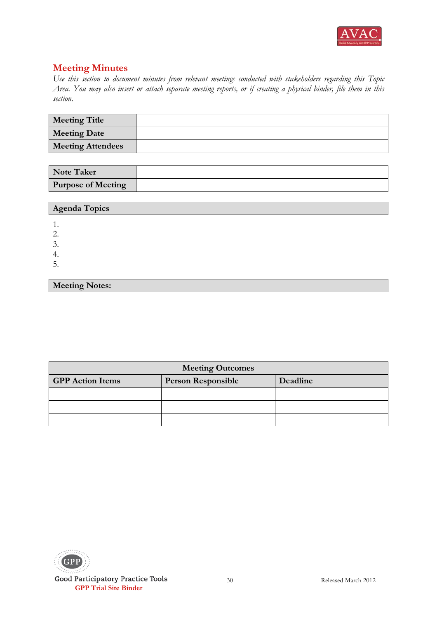

| <b>Meeting Title</b>     |  |
|--------------------------|--|
| <b>Meeting Date</b>      |  |
| <b>Meeting Attendees</b> |  |

| <b>Note Taker</b>         |  |
|---------------------------|--|
| <b>Purpose of Meeting</b> |  |

| <b>Agenda Topics</b>  |
|-----------------------|
|                       |
| 2.                    |
| 3.                    |
| 4.                    |
| 5.                    |
|                       |
| <b>Meeting Notes:</b> |

| <b>Meeting Outcomes</b> |                           |          |
|-------------------------|---------------------------|----------|
| <b>GPP</b> Action Items | <b>Person Responsible</b> | Deadline |
|                         |                           |          |
|                         |                           |          |
|                         |                           |          |

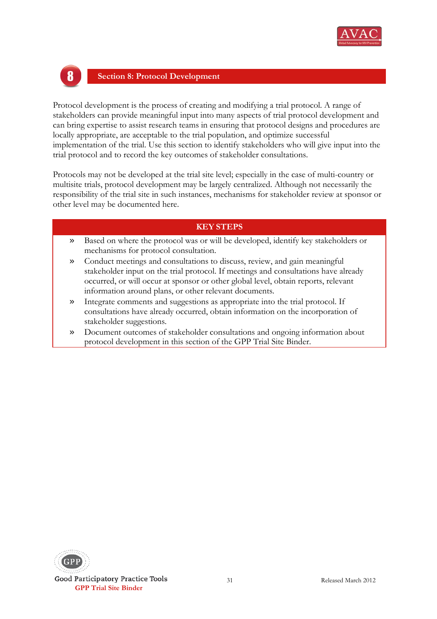



#### **Section 8: Protocol Development**

Protocol development is the process of creating and modifying a trial protocol. A range of stakeholders can provide meaningful input into many aspects of trial protocol development and can bring expertise to assist research teams in ensuring that protocol designs and procedures are locally appropriate, are acceptable to the trial population, and optimize successful implementation of the trial. Use this section to identify stakeholders who will give input into the trial protocol and to record the key outcomes of stakeholder consultations.

Protocols may not be developed at the trial site level; especially in the case of multi-country or multisite trials, protocol development may be largely centralized. Although not necessarily the responsibility of the trial site in such instances, mechanisms for stakeholder review at sponsor or other level may be documented here.

- » Based on where the protocol was or will be developed, identify key stakeholders or mechanisms for protocol consultation.
- » Conduct meetings and consultations to discuss, review, and gain meaningful stakeholder input on the trial protocol. If meetings and consultations have already occurred, or will occur at sponsor or other global level, obtain reports, relevant information around plans, or other relevant documents.
- » Integrate comments and suggestions as appropriate into the trial protocol. If consultations have already occurred, obtain information on the incorporation of stakeholder suggestions.
- » Document outcomes of stakeholder consultations and ongoing information about protocol development in this section of the GPP Trial Site Binder.

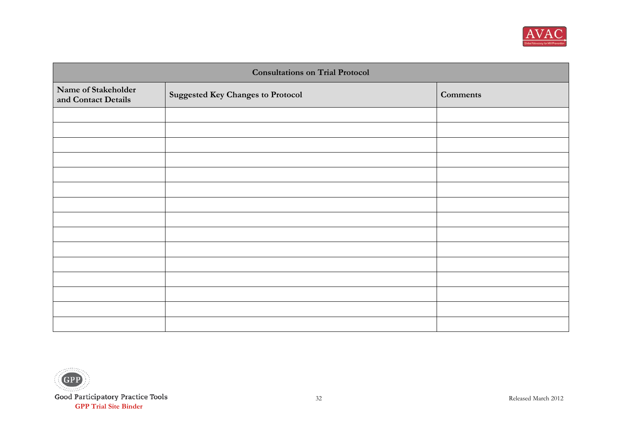

| <b>Consultations on Trial Protocol</b>     |                                          |                 |
|--------------------------------------------|------------------------------------------|-----------------|
| Name of Stakeholder<br>and Contact Details | <b>Suggested Key Changes to Protocol</b> | <b>Comments</b> |
|                                            |                                          |                 |
|                                            |                                          |                 |
|                                            |                                          |                 |
|                                            |                                          |                 |
|                                            |                                          |                 |
|                                            |                                          |                 |
|                                            |                                          |                 |
|                                            |                                          |                 |
|                                            |                                          |                 |
|                                            |                                          |                 |
|                                            |                                          |                 |
|                                            |                                          |                 |
|                                            |                                          |                 |
|                                            |                                          |                 |
|                                            |                                          |                 |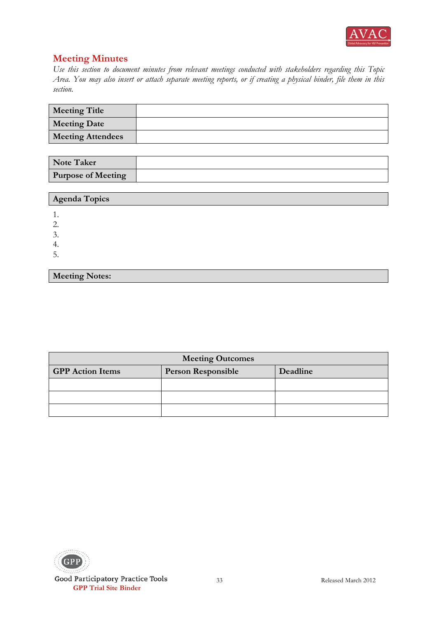

**Meeting Notes:**

| <b>Meeting Title</b>     |  |
|--------------------------|--|
| <b>Meeting Date</b>      |  |
| <b>Meeting Attendees</b> |  |

| <b>Note Taker</b>         |  |
|---------------------------|--|
| <b>Purpose of Meeting</b> |  |

| Agenda Topics |  |
|---------------|--|
|               |  |
| ◠<br>٠.       |  |
| 3.            |  |
| 4.            |  |
| Ć.            |  |
|               |  |

| <b>Meeting Outcomes</b>                                          |  |  |
|------------------------------------------------------------------|--|--|
| <b>GPP</b> Action Items<br><b>Person Responsible</b><br>Deadline |  |  |
|                                                                  |  |  |
|                                                                  |  |  |
|                                                                  |  |  |

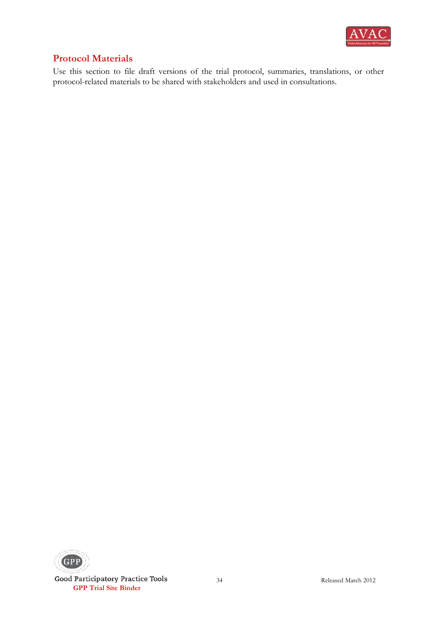

# **Protocol Materials**

Use this section to file draft versions of the trial protocol, summaries, translations, or other protocol-related materials to be shared with stakeholders and used in consultations.

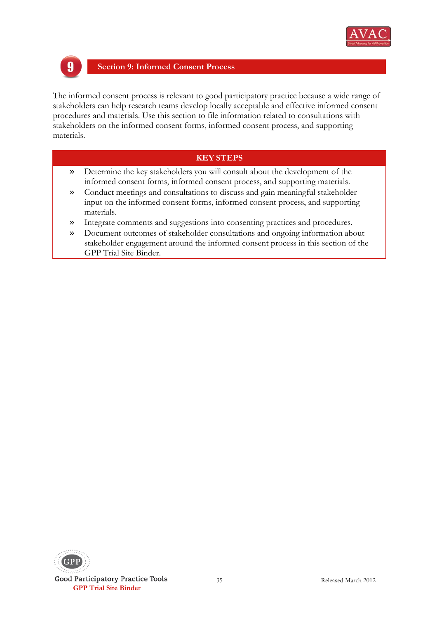

#### **Section 9: Informed Consent Process** 9

The informed consent process is relevant to good participatory practice because a wide range of stakeholders can help research teams develop locally acceptable and effective informed consent procedures and materials. Use this section to file information related to consultations with stakeholders on the informed consent forms, informed consent process, and supporting materials.

- » Determine the key stakeholders you will consult about the development of the informed consent forms, informed consent process, and supporting materials.
- » Conduct meetings and consultations to discuss and gain meaningful stakeholder input on the informed consent forms, informed consent process, and supporting materials.
- » Integrate comments and suggestions into consenting practices and procedures.
- » Document outcomes of stakeholder consultations and ongoing information about stakeholder engagement around the informed consent process in this section of the GPP Trial Site Binder.

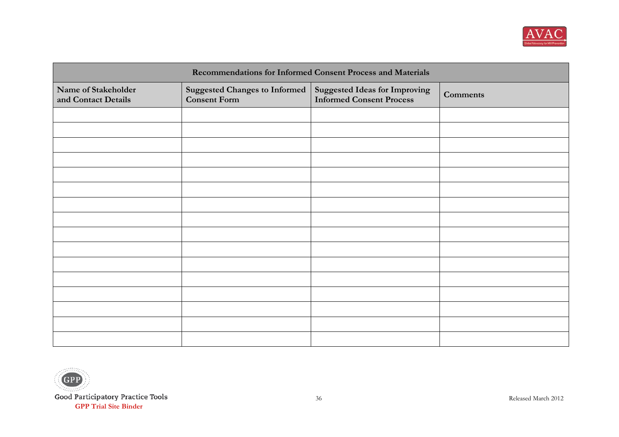

| Recommendations for Informed Consent Process and Materials |                                                             |                                                                         |                 |
|------------------------------------------------------------|-------------------------------------------------------------|-------------------------------------------------------------------------|-----------------|
| Name of Stakeholder<br>and Contact Details                 | <b>Suggested Changes to Informed</b><br><b>Consent Form</b> | <b>Suggested Ideas for Improving</b><br><b>Informed Consent Process</b> | <b>Comments</b> |
|                                                            |                                                             |                                                                         |                 |
|                                                            |                                                             |                                                                         |                 |
|                                                            |                                                             |                                                                         |                 |
|                                                            |                                                             |                                                                         |                 |
|                                                            |                                                             |                                                                         |                 |
|                                                            |                                                             |                                                                         |                 |
|                                                            |                                                             |                                                                         |                 |
|                                                            |                                                             |                                                                         |                 |
|                                                            |                                                             |                                                                         |                 |
|                                                            |                                                             |                                                                         |                 |
|                                                            |                                                             |                                                                         |                 |
|                                                            |                                                             |                                                                         |                 |
|                                                            |                                                             |                                                                         |                 |
|                                                            |                                                             |                                                                         |                 |
|                                                            |                                                             |                                                                         |                 |
|                                                            |                                                             |                                                                         |                 |

andicion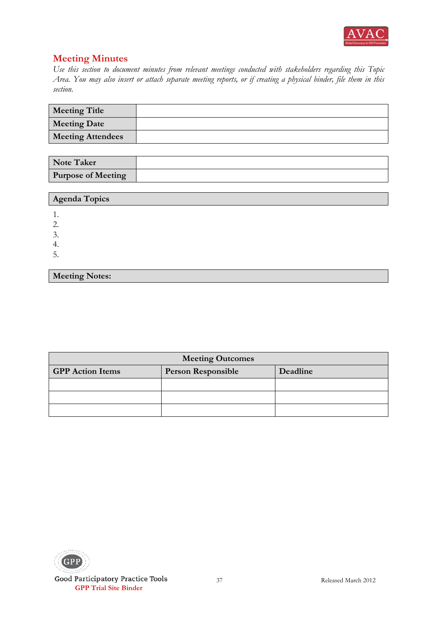

**Meeting Notes:**

| <b>Meeting Title</b>     |  |
|--------------------------|--|
| <b>Meeting Date</b>      |  |
| <b>Meeting Attendees</b> |  |

| <b>Note Taker</b>         |  |
|---------------------------|--|
| <b>Purpose of Meeting</b> |  |

| <b>Agenda Topics</b> |  |
|----------------------|--|
|                      |  |
| ി<br>٠.              |  |
| 3.                   |  |
| 4.                   |  |
| Ć.                   |  |
|                      |  |

| <b>Meeting Outcomes</b> |          |  |  |
|-------------------------|----------|--|--|
| <b>GPP</b> Action Items | Deadline |  |  |
|                         |          |  |  |
|                         |          |  |  |
|                         |          |  |  |

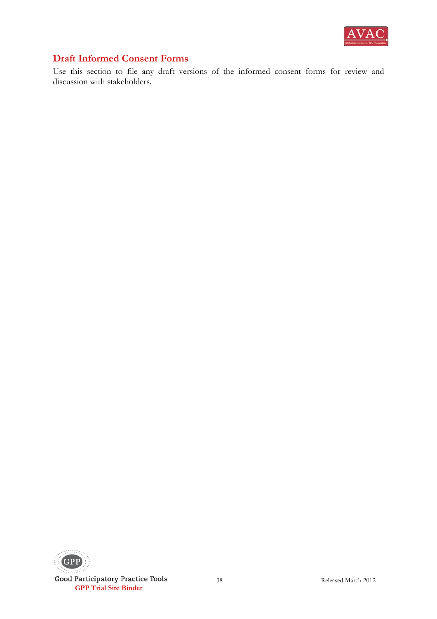

# **Draft Informed Consent Forms**

Use this section to file any draft versions of the informed consent forms for review and discussion with stakeholders.

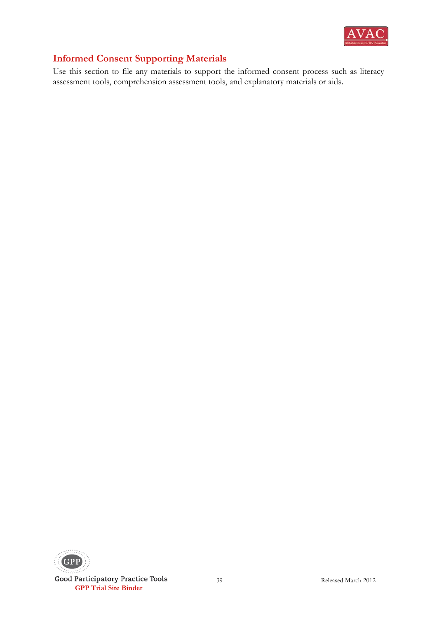

# **Informed Consent Supporting Materials**

Use this section to file any materials to support the informed consent process such as literacy assessment tools, comprehension assessment tools, and explanatory materials or aids.

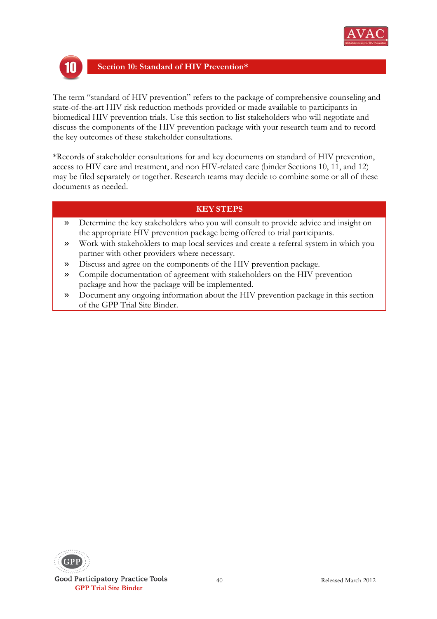



#### **Section 10: Standard of HIV Prevention\***

The term "standard of HIV prevention" refers to the package of comprehensive counseling and state-of-the-art HIV risk reduction methods provided or made available to participants in biomedical HIV prevention trials. Use this section to list stakeholders who will negotiate and discuss the components of the HIV prevention package with your research team and to record the key outcomes of these stakeholder consultations.

\*Records of stakeholder consultations for and key documents on standard of HIV prevention, access to HIV care and treatment, and non HIV-related care (binder Sections 10, 11, and 12) may be filed separately or together. Research teams may decide to combine some or all of these documents as needed.

- » Determine the key stakeholders who you will consult to provide advice and insight on the appropriate HIV prevention package being offered to trial participants.
- » Work with stakeholders to map local services and create a referral system in which you partner with other providers where necessary.
- » Discuss and agree on the components of the HIV prevention package.
- » Compile documentation of agreement with stakeholders on the HIV prevention package and how the package will be implemented.
- » Document any ongoing information about the HIV prevention package in this section of the GPP Trial Site Binder.

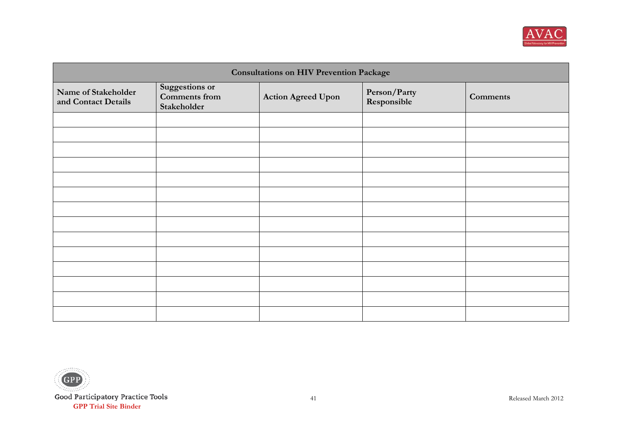

| <b>Consultations on HIV Prevention Package</b> |                                                |                           |                             |                 |
|------------------------------------------------|------------------------------------------------|---------------------------|-----------------------------|-----------------|
| Name of Stakeholder<br>and Contact Details     | Suggestions or<br>Comments from<br>Stakeholder | <b>Action Agreed Upon</b> | Person/Party<br>Responsible | <b>Comments</b> |
|                                                |                                                |                           |                             |                 |
|                                                |                                                |                           |                             |                 |
|                                                |                                                |                           |                             |                 |
|                                                |                                                |                           |                             |                 |
|                                                |                                                |                           |                             |                 |
|                                                |                                                |                           |                             |                 |
|                                                |                                                |                           |                             |                 |
|                                                |                                                |                           |                             |                 |
|                                                |                                                |                           |                             |                 |
|                                                |                                                |                           |                             |                 |
|                                                |                                                |                           |                             |                 |
|                                                |                                                |                           |                             |                 |
|                                                |                                                |                           |                             |                 |
|                                                |                                                |                           |                             |                 |

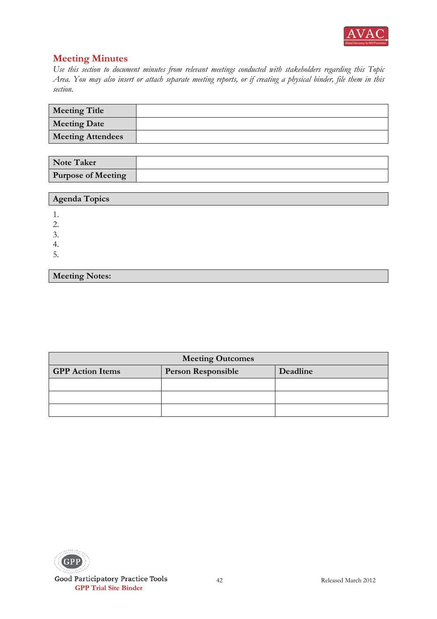

**Meeting Notes:**

| <b>Meeting Title</b>     |  |
|--------------------------|--|
| <b>Meeting Date</b>      |  |
| <b>Meeting Attendees</b> |  |

| <b>Note Taker</b>         |  |
|---------------------------|--|
| <b>Purpose of Meeting</b> |  |

| Agenda Topics |  |
|---------------|--|
|               |  |
| ◠             |  |
| 3.            |  |
| 4.            |  |
| Ć.            |  |
|               |  |

| <b>Meeting Outcomes</b> |          |  |  |
|-------------------------|----------|--|--|
| <b>GPP</b> Action Items | Deadline |  |  |
|                         |          |  |  |
|                         |          |  |  |
|                         |          |  |  |

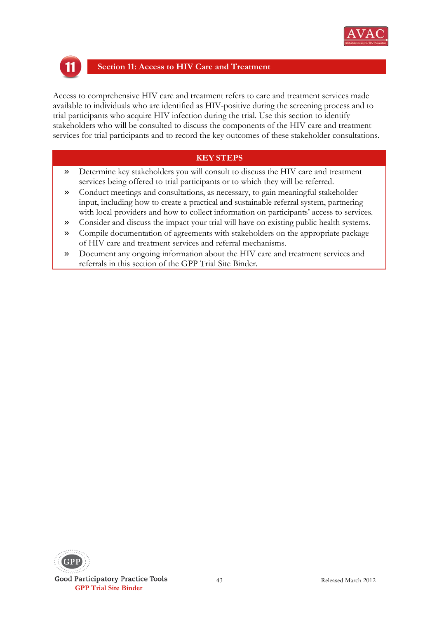



#### **Section 11: Access to HIV Care and Treatment**

Access to comprehensive HIV care and treatment refers to care and treatment services made available to individuals who are identified as HIV-positive during the screening process and to trial participants who acquire HIV infection during the trial. Use this section to identify stakeholders who will be consulted to discuss the components of the HIV care and treatment services for trial participants and to record the key outcomes of these stakeholder consultations.

- » Determine key stakeholders you will consult to discuss the HIV care and treatment services being offered to trial participants or to which they will be referred.
- » Conduct meetings and consultations, as necessary, to gain meaningful stakeholder input, including how to create a practical and sustainable referral system, partnering with local providers and how to collect information on participants' access to services.
- » Consider and discuss the impact your trial will have on existing public health systems.
- » Compile documentation of agreements with stakeholders on the appropriate package of HIV care and treatment services and referral mechanisms.
- » Document any ongoing information about the HIV care and treatment services and referrals in this section of the GPP Trial Site Binder.

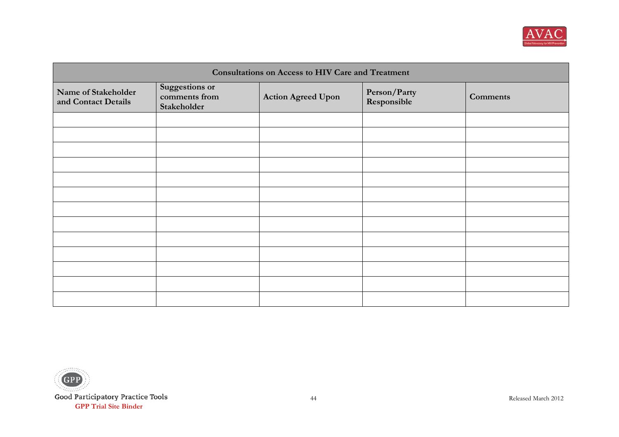

| <b>Consultations on Access to HIV Care and Treatment</b> |                                                |                           |                             |                 |
|----------------------------------------------------------|------------------------------------------------|---------------------------|-----------------------------|-----------------|
| Name of Stakeholder<br>and Contact Details               | Suggestions or<br>comments from<br>Stakeholder | <b>Action Agreed Upon</b> | Person/Party<br>Responsible | <b>Comments</b> |
|                                                          |                                                |                           |                             |                 |
|                                                          |                                                |                           |                             |                 |
|                                                          |                                                |                           |                             |                 |
|                                                          |                                                |                           |                             |                 |
|                                                          |                                                |                           |                             |                 |
|                                                          |                                                |                           |                             |                 |
|                                                          |                                                |                           |                             |                 |
|                                                          |                                                |                           |                             |                 |
|                                                          |                                                |                           |                             |                 |
|                                                          |                                                |                           |                             |                 |
|                                                          |                                                |                           |                             |                 |
|                                                          |                                                |                           |                             |                 |
|                                                          |                                                |                           |                             |                 |

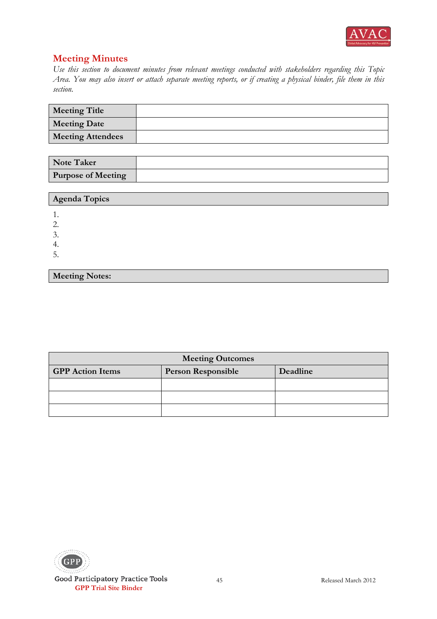

**Meeting Notes:**

| <b>Meeting Title</b>     |  |
|--------------------------|--|
| <b>Meeting Date</b>      |  |
| <b>Meeting Attendees</b> |  |

| <b>Note Taker</b>         |  |
|---------------------------|--|
| <b>Purpose of Meeting</b> |  |

| Agenda Topics |  |
|---------------|--|
|               |  |
| ◠<br>٠.       |  |
| 3.            |  |
| 4.            |  |
| Ć.            |  |
|               |  |

| <b>Meeting Outcomes</b>                                          |  |  |  |
|------------------------------------------------------------------|--|--|--|
| <b>GPP</b> Action Items<br><b>Person Responsible</b><br>Deadline |  |  |  |
|                                                                  |  |  |  |
|                                                                  |  |  |  |
|                                                                  |  |  |  |

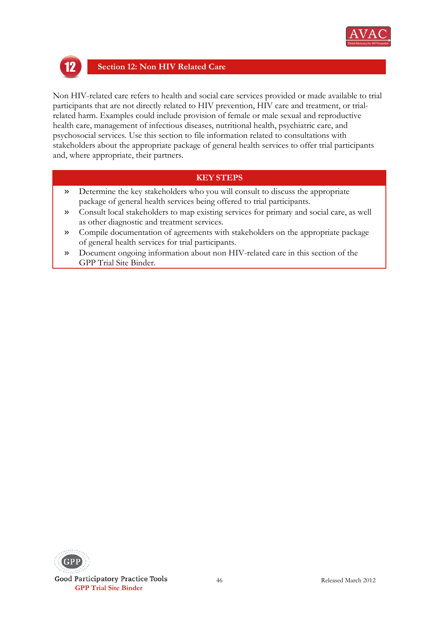



#### **Section 12: Non HIV Related Care**

Non HIV-related care refers to health and social care services provided or made available to trial participants that are not directly related to HIV prevention, HIV care and treatment, or trialrelated harm. Examples could include provision of female or male sexual and reproductive health care, management of infectious diseases, nutritional health, psychiatric care, and psychosocial services. Use this section to file information related to consultations with stakeholders about the appropriate package of general health services to offer trial participants and, where appropriate, their partners.

- » Determine the key stakeholders who you will consult to discuss the appropriate package of general health services being offered to trial participants.
- » Consult local stakeholders to map existing services for primary and social care, as well as other diagnostic and treatment services.
- » Compile documentation of agreements with stakeholders on the appropriate package of general health services for trial participants.
- » Document ongoing information about non HIV-related care in this section of the GPP Trial Site Binder.

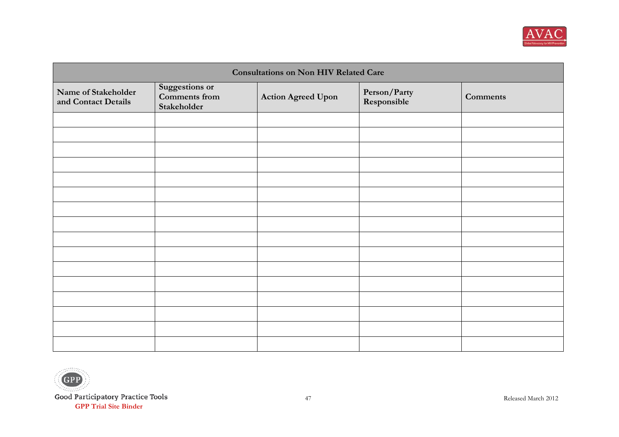

| <b>Consultations on Non HIV Related Care</b> |                                                       |                           |                             |                 |
|----------------------------------------------|-------------------------------------------------------|---------------------------|-----------------------------|-----------------|
| Name of Stakeholder<br>and Contact Details   | Suggestions or<br><b>Comments</b> from<br>Stakeholder | <b>Action Agreed Upon</b> | Person/Party<br>Responsible | <b>Comments</b> |
|                                              |                                                       |                           |                             |                 |
|                                              |                                                       |                           |                             |                 |
|                                              |                                                       |                           |                             |                 |
|                                              |                                                       |                           |                             |                 |
|                                              |                                                       |                           |                             |                 |
|                                              |                                                       |                           |                             |                 |
|                                              |                                                       |                           |                             |                 |
|                                              |                                                       |                           |                             |                 |
|                                              |                                                       |                           |                             |                 |
|                                              |                                                       |                           |                             |                 |
|                                              |                                                       |                           |                             |                 |
|                                              |                                                       |                           |                             |                 |
|                                              |                                                       |                           |                             |                 |
|                                              |                                                       |                           |                             |                 |
|                                              |                                                       |                           |                             |                 |
|                                              |                                                       |                           |                             |                 |

andicion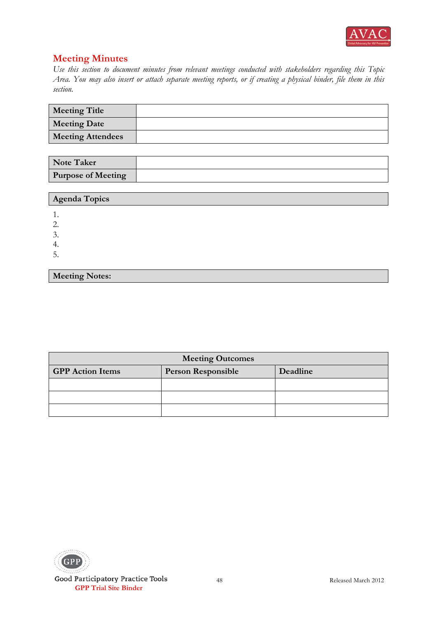

**Meeting Notes:**

| <b>Meeting Title</b>     |  |
|--------------------------|--|
| <b>Meeting Date</b>      |  |
| <b>Meeting Attendees</b> |  |

| <b>Note Taker</b>         |  |
|---------------------------|--|
| <b>Purpose of Meeting</b> |  |

| Agenda Topics |  |
|---------------|--|
|               |  |
| ∍<br>۷.       |  |
| 3.            |  |
| -4.           |  |
| Ć.            |  |
|               |  |

| <b>Meeting Outcomes</b>                                          |  |  |  |
|------------------------------------------------------------------|--|--|--|
| <b>GPP</b> Action Items<br><b>Person Responsible</b><br>Deadline |  |  |  |
|                                                                  |  |  |  |
|                                                                  |  |  |  |
|                                                                  |  |  |  |

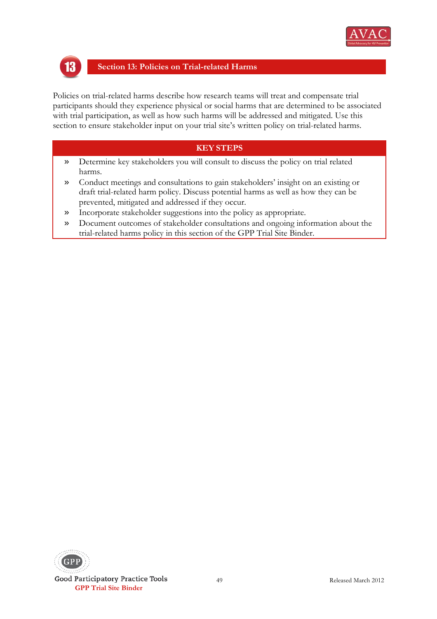



#### **Section 13: Policies on Trial-related Harms**

Policies on trial-related harms describe how research teams will treat and compensate trial participants should they experience physical or social harms that are determined to be associated with trial participation, as well as how such harms will be addressed and mitigated. Use this section to ensure stakeholder input on your trial site's written policy on trial-related harms.

- » Determine key stakeholders you will consult to discuss the policy on trial related harms.
- » Conduct meetings and consultations to gain stakeholders' insight on an existing or draft trial-related harm policy. Discuss potential harms as well as how they can be prevented, mitigated and addressed if they occur.
- » Incorporate stakeholder suggestions into the policy as appropriate.
- » Document outcomes of stakeholder consultations and ongoing information about the trial-related harms policy in this section of the GPP Trial Site Binder.

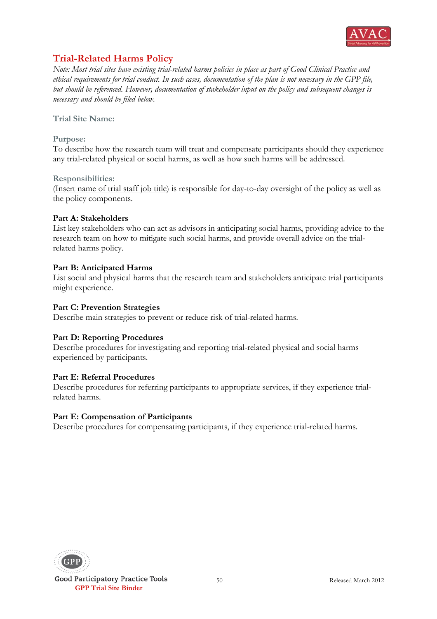

# **Trial-Related Harms Policy**

*Note: Most trial sites have existing trial-related harms policies in place as part of Good Clinical Practice and ethical requirements for trial conduct. In such cases, documentation of the plan is not necessary in the GPP file, but should be referenced. However, documentation of stakeholder input on the policy and subsequent changes is necessary and should be filed below.*

**Trial Site Name:** 

#### **Purpose:**

To describe how the research team will treat and compensate participants should they experience any trial-related physical or social harms, as well as how such harms will be addressed.

#### **Responsibilities:**

(Insert name of trial staff job title) is responsible for day-to-day oversight of the policy as well as the policy components.

#### **Part A: Stakeholders**

List key stakeholders who can act as advisors in anticipating social harms, providing advice to the research team on how to mitigate such social harms, and provide overall advice on the trialrelated harms policy.

#### **Part B: Anticipated Harms**

List social and physical harms that the research team and stakeholders anticipate trial participants might experience.

#### **Part C: Prevention Strategies**

Describe main strategies to prevent or reduce risk of trial-related harms.

#### **Part D: Reporting Procedures**

Describe procedures for investigating and reporting trial-related physical and social harms experienced by participants.

#### **Part E: Referral Procedures**

Describe procedures for referring participants to appropriate services, if they experience trialrelated harms.

#### **Part E: Compensation of Participants**

Describe procedures for compensating participants, if they experience trial-related harms.

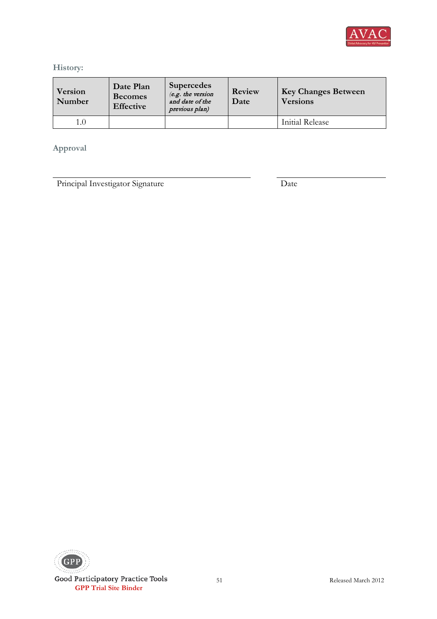

### **History:**

| Version<br>Number | Date Plan<br><b>Becomes</b><br><b>Effective</b> | <b>Supercedes</b><br>$(e.g.$ the version<br>and date of the<br>previous plan) | Review<br>Date | <b>Key Changes Between</b><br><b>Versions</b> |
|-------------------|-------------------------------------------------|-------------------------------------------------------------------------------|----------------|-----------------------------------------------|
| 1.0               |                                                 |                                                                               |                | Initial Release                               |

### **Approval**

Principal Investigator Signature Date

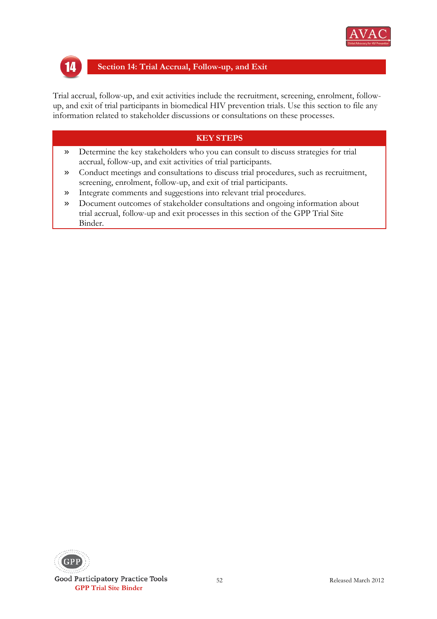



#### **Section 14: Trial Accrual, Follow-up, and Exit**

Trial accrual, follow-up, and exit activities include the recruitment, screening, enrolment, followup, and exit of trial participants in biomedical HIV prevention trials. Use this section to file any information related to stakeholder discussions or consultations on these processes.

- » Determine the key stakeholders who you can consult to discuss strategies for trial accrual, follow-up, and exit activities of trial participants.
- » Conduct meetings and consultations to discuss trial procedures, such as recruitment, screening, enrolment, follow-up, and exit of trial participants.
- » Integrate comments and suggestions into relevant trial procedures.
- » Document outcomes of stakeholder consultations and ongoing information about trial accrual, follow-up and exit processes in this section of the GPP Trial Site Binder.

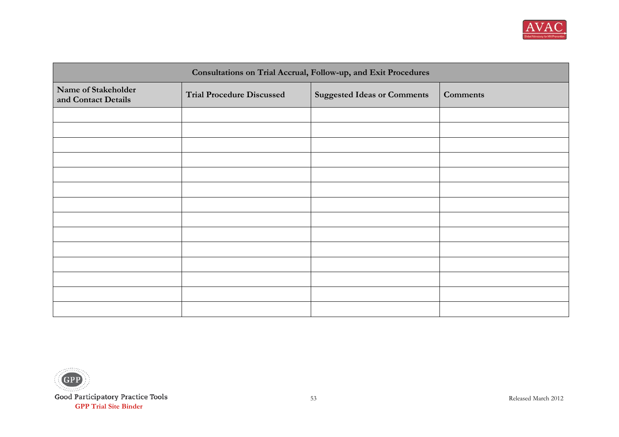

| Consultations on Trial Accrual, Follow-up, and Exit Procedures |                                  |                                    |                 |
|----------------------------------------------------------------|----------------------------------|------------------------------------|-----------------|
| Name of Stakeholder<br>and Contact Details                     | <b>Trial Procedure Discussed</b> | <b>Suggested Ideas or Comments</b> | <b>Comments</b> |
|                                                                |                                  |                                    |                 |
|                                                                |                                  |                                    |                 |
|                                                                |                                  |                                    |                 |
|                                                                |                                  |                                    |                 |
|                                                                |                                  |                                    |                 |
|                                                                |                                  |                                    |                 |
|                                                                |                                  |                                    |                 |
|                                                                |                                  |                                    |                 |
|                                                                |                                  |                                    |                 |
|                                                                |                                  |                                    |                 |
|                                                                |                                  |                                    |                 |
|                                                                |                                  |                                    |                 |
|                                                                |                                  |                                    |                 |
|                                                                |                                  |                                    |                 |

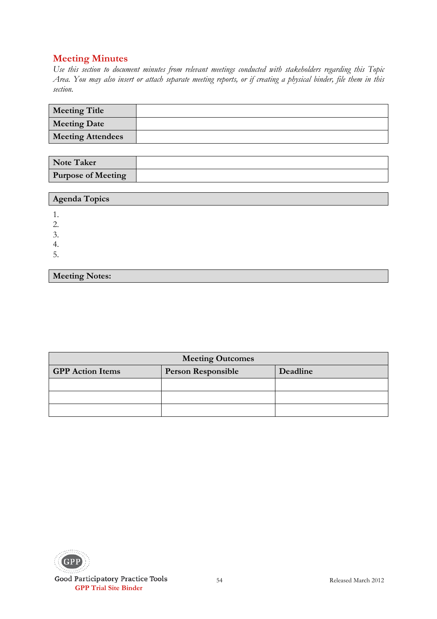**Meeting Notes:**

| <b>Meeting Title</b>     |  |
|--------------------------|--|
| <b>Meeting Date</b>      |  |
| <b>Meeting Attendees</b> |  |

| <b>Note Taker</b>         |  |
|---------------------------|--|
| <b>Purpose of Meeting</b> |  |

| Agenda Topics |  |
|---------------|--|
|               |  |
| ◡.            |  |
| 4.            |  |
| ∽<br>J.       |  |

| <b>Meeting Outcomes</b>                                          |  |  |  |
|------------------------------------------------------------------|--|--|--|
| <b>GPP</b> Action Items<br><b>Person Responsible</b><br>Deadline |  |  |  |
|                                                                  |  |  |  |
|                                                                  |  |  |  |
|                                                                  |  |  |  |

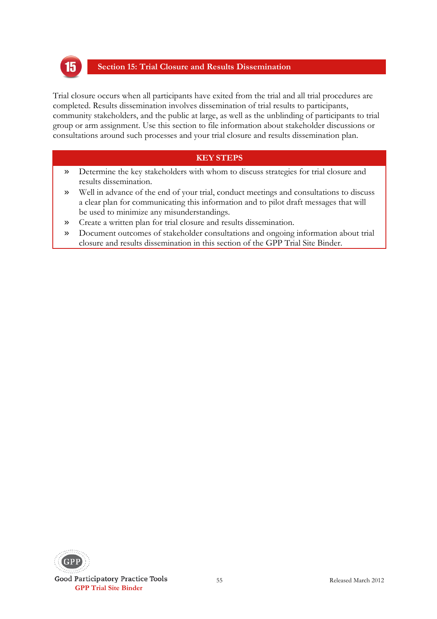

#### **Section 15: Trial Closure and Results Dissemination**

Trial closure occurs when all participants have exited from the trial and all trial procedures are completed. Results dissemination involves dissemination of trial results to participants, community stakeholders, and the public at large, as well as the unblinding of participants to trial group or arm assignment. Use this section to file information about stakeholder discussions or consultations around such processes and your trial closure and results dissemination plan.

- » Determine the key stakeholders with whom to discuss strategies for trial closure and results dissemination.
- » Well in advance of the end of your trial, conduct meetings and consultations to discuss a clear plan for communicating this information and to pilot draft messages that will be used to minimize any misunderstandings.
- » Create a written plan for trial closure and results dissemination.
- » Document outcomes of stakeholder consultations and ongoing information about trial closure and results dissemination in this section of the GPP Trial Site Binder.

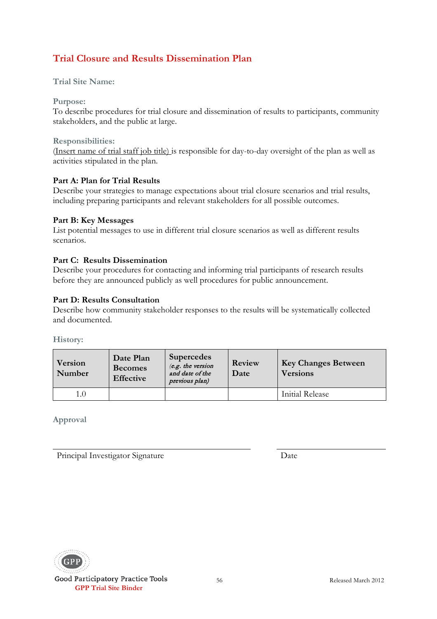# **Trial Closure and Results Dissemination Plan**

#### **Trial Site Name:**

#### **Purpose:**

To describe procedures for trial closure and dissemination of results to participants, community stakeholders, and the public at large.

#### **Responsibilities:**

(Insert name of trial staff job title) is responsible for day-to-day oversight of the plan as well as activities stipulated in the plan.

#### **Part A: Plan for Trial Results**

Describe your strategies to manage expectations about trial closure scenarios and trial results, including preparing participants and relevant stakeholders for all possible outcomes.

#### **Part B: Key Messages**

List potential messages to use in different trial closure scenarios as well as different results scenarios.

#### **Part C: Results Dissemination**

Describe your procedures for contacting and informing trial participants of research results before they are announced publicly as well procedures for public announcement.

#### **Part D: Results Consultation**

Describe how community stakeholder responses to the results will be systematically collected and documented.

**History:**

| Version<br>Number | Date Plan<br><b>Becomes</b><br><b>Effective</b> | <b>Supercedes</b><br>$(e.g.$ the version<br>and date of the<br>previous plan) | Review<br>Date | <b>Key Changes Between</b><br><b>Versions</b> |
|-------------------|-------------------------------------------------|-------------------------------------------------------------------------------|----------------|-----------------------------------------------|
| 1.0               |                                                 |                                                                               |                | Initial Release                               |

**Approval**

Principal Investigator Signature Date



Good Participatory Practice Tools  **GPP Trial Site Binder**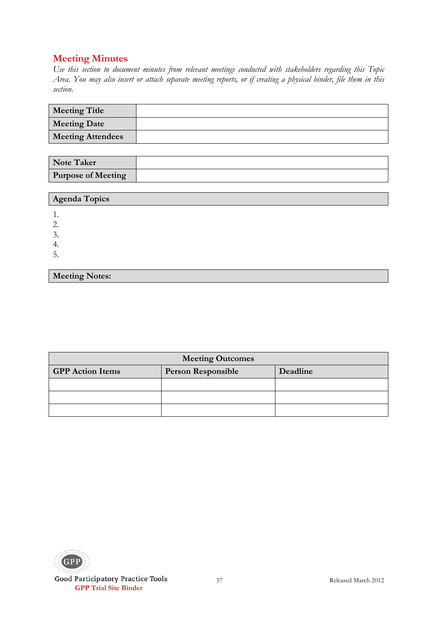**Meeting Notes:**

| <b>Meeting Title</b>     |  |
|--------------------------|--|
| <b>Meeting Date</b>      |  |
| <b>Meeting Attendees</b> |  |

| <b>Note Taker</b>         |  |
|---------------------------|--|
| <b>Purpose of Meeting</b> |  |

| Agenda Topics |  |
|---------------|--|
|               |  |
| ◡.            |  |
| 4.            |  |
| ∽<br>J.       |  |

| <b>Meeting Outcomes</b>                              |  |          |  |
|------------------------------------------------------|--|----------|--|
| <b>GPP</b> Action Items<br><b>Person Responsible</b> |  | Deadline |  |
|                                                      |  |          |  |
|                                                      |  |          |  |
|                                                      |  |          |  |

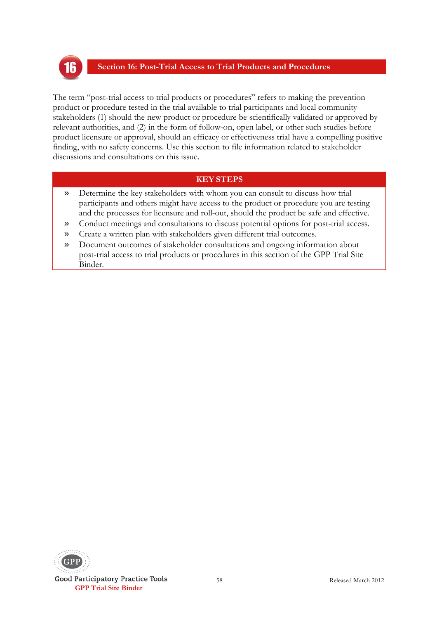

#### **Section 16: Post-Trial Access to Trial Products and Procedures**

The term "post-trial access to trial products or procedures" refers to making the prevention product or procedure tested in the trial available to trial participants and local community stakeholders (1) should the new product or procedure be scientifically validated or approved by relevant authorities, and (2) in the form of follow-on, open label, or other such studies before product licensure or approval, should an efficacy or effectiveness trial have a compelling positive finding, with no safety concerns. Use this section to file information related to stakeholder discussions and consultations on this issue.

- » Determine the key stakeholders with whom you can consult to discuss how trial participants and others might have access to the product or procedure you are testing and the processes for licensure and roll-out, should the product be safe and effective.
- » Conduct meetings and consultations to discuss potential options for post-trial access.
- » Create a written plan with stakeholders given different trial outcomes.
- » Document outcomes of stakeholder consultations and ongoing information about post-trial access to trial products or procedures in this section of the GPP Trial Site Binder.

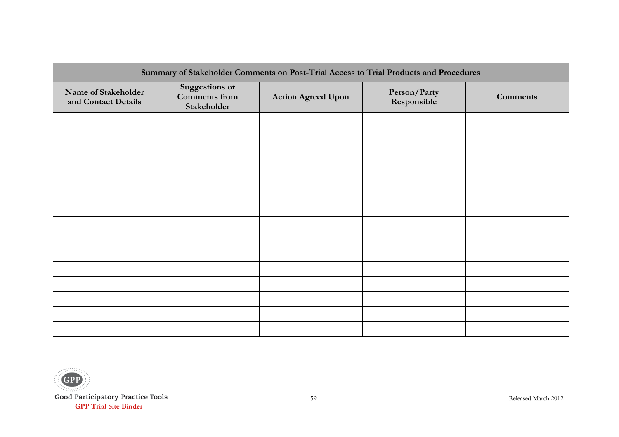| Summary of Stakeholder Comments on Post-Trial Access to Trial Products and Procedures |                                                              |                           |                             |                 |
|---------------------------------------------------------------------------------------|--------------------------------------------------------------|---------------------------|-----------------------------|-----------------|
| Name of Stakeholder<br>and Contact Details                                            | <b>Suggestions or</b><br><b>Comments</b> from<br>Stakeholder | <b>Action Agreed Upon</b> | Person/Party<br>Responsible | <b>Comments</b> |
|                                                                                       |                                                              |                           |                             |                 |
|                                                                                       |                                                              |                           |                             |                 |
|                                                                                       |                                                              |                           |                             |                 |
|                                                                                       |                                                              |                           |                             |                 |
|                                                                                       |                                                              |                           |                             |                 |
|                                                                                       |                                                              |                           |                             |                 |
|                                                                                       |                                                              |                           |                             |                 |
|                                                                                       |                                                              |                           |                             |                 |
|                                                                                       |                                                              |                           |                             |                 |
|                                                                                       |                                                              |                           |                             |                 |
|                                                                                       |                                                              |                           |                             |                 |
|                                                                                       |                                                              |                           |                             |                 |
|                                                                                       |                                                              |                           |                             |                 |
|                                                                                       |                                                              |                           |                             |                 |
|                                                                                       |                                                              |                           |                             |                 |

**Addition**